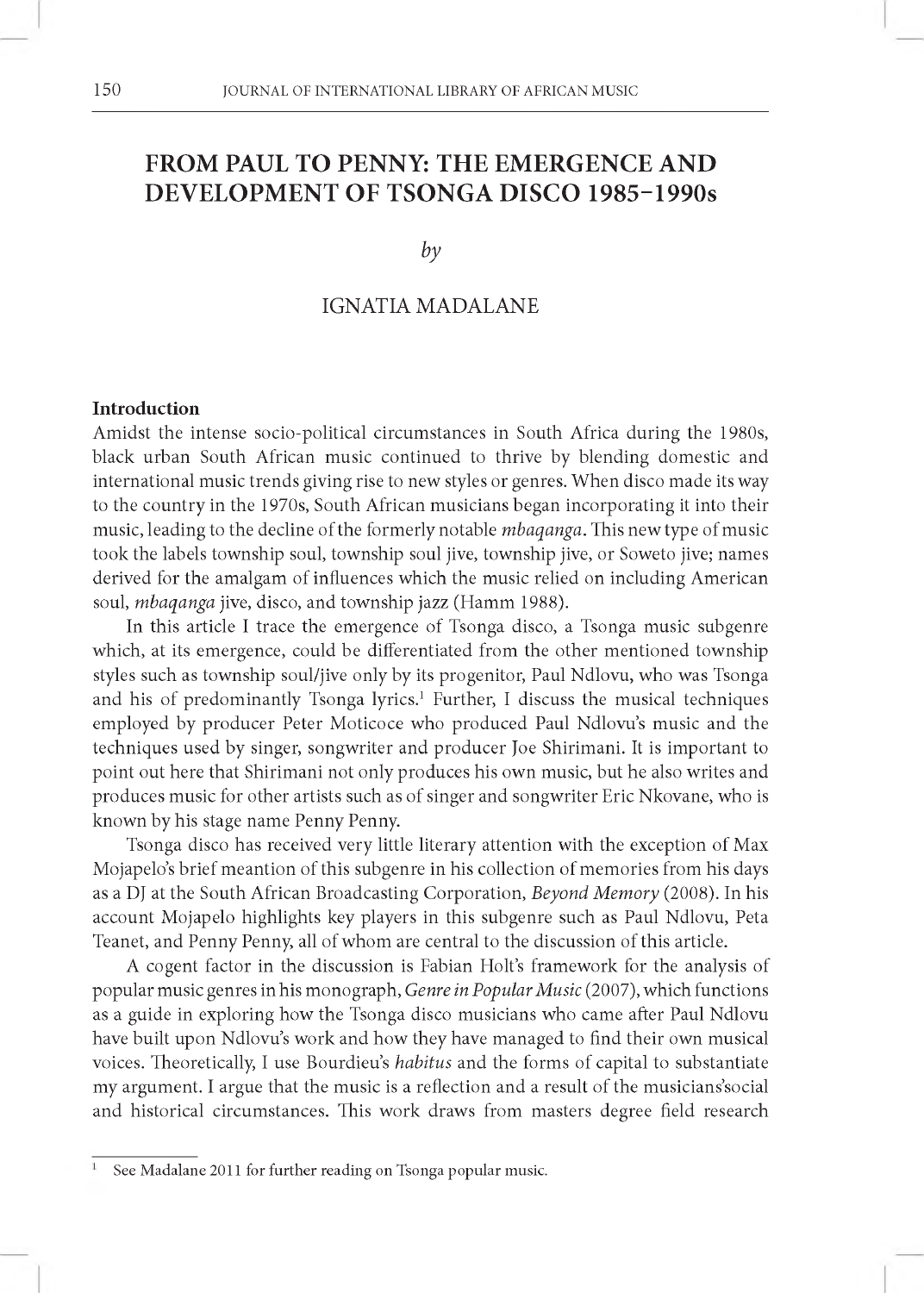# **FROM PAUL TO PENNY: THE EMERGENCE AND DEVELOPMENT OF TSONGA DISCO 1985-1990s**

*by*

# IGNATIA MADALANE

#### **Introduction**

Amidst the intense socio-political circumstances in South Africa during the 1980s, black urban South African music continued to thrive by blending domestic and international music trends giving rise to new styles or genres. When disco made its way to the country in the 1970s, South African musicians began incorporating it into their music, leading to the decline of the formerly notable *mbaqanga.* This new type of music took the labels township soul, township soul jive, township jive, or Soweto jive; names derived for the amalgam of influences which the music relied on including American soul, *mbaqanga* jive, disco, and township jazz (Hamm 1988).

In this article I trace the emergence of Tsonga disco, a Tsonga music subgenre which, at its emergence, could be differentiated from the other mentioned township styles such as township soul/jive only by its progenitor, Paul Ndlovu, who was Tsonga and his of predominantly Tsonga lyrics.<sup>1</sup> Further, I discuss the musical techniques employed by producer Peter Moticoce who produced Paul Ndlovu's music and the techniques used by singer, songwriter and producer Joe Shirimani. It is important to point out here that Shirimani not only produces his own music, but he also writes and produces music for other artists such as of singer and songwriter Eric Nkovane, who is known by his stage name Penny Penny.

Tsonga disco has received very little literary attention with the exception of Max Mojapelo's brief meantion of this subgenre in his collection of memories from his days as a DJ at the South African Broadcasting Corporation, *Beyond Memory* (2008). In his account Mojapelo highlights key players in this subgenre such as Paul Ndlovu, Peta Teanet, and Penny Penny, all of whom are central to the discussion of this article.

A cogent factor in the discussion is Fabian Holt's framework for the analysis of popular music genres in his monograph, *Genre in Popular Music* (2007), which functions as a guide in exploring how the Tsonga disco musicians who came after Paul Ndlovu have built upon Ndlovu's work and how they have managed to find their own musical voices. Theoretically, I use Bourdieu's *habitus* and the forms of capital to substantiate my argument. I argue that the music is a reflection and a result of the musicians'social and historical circumstances. This work draws from masters degree field research

See Madalane 2011 for further reading on Tsonga popular music.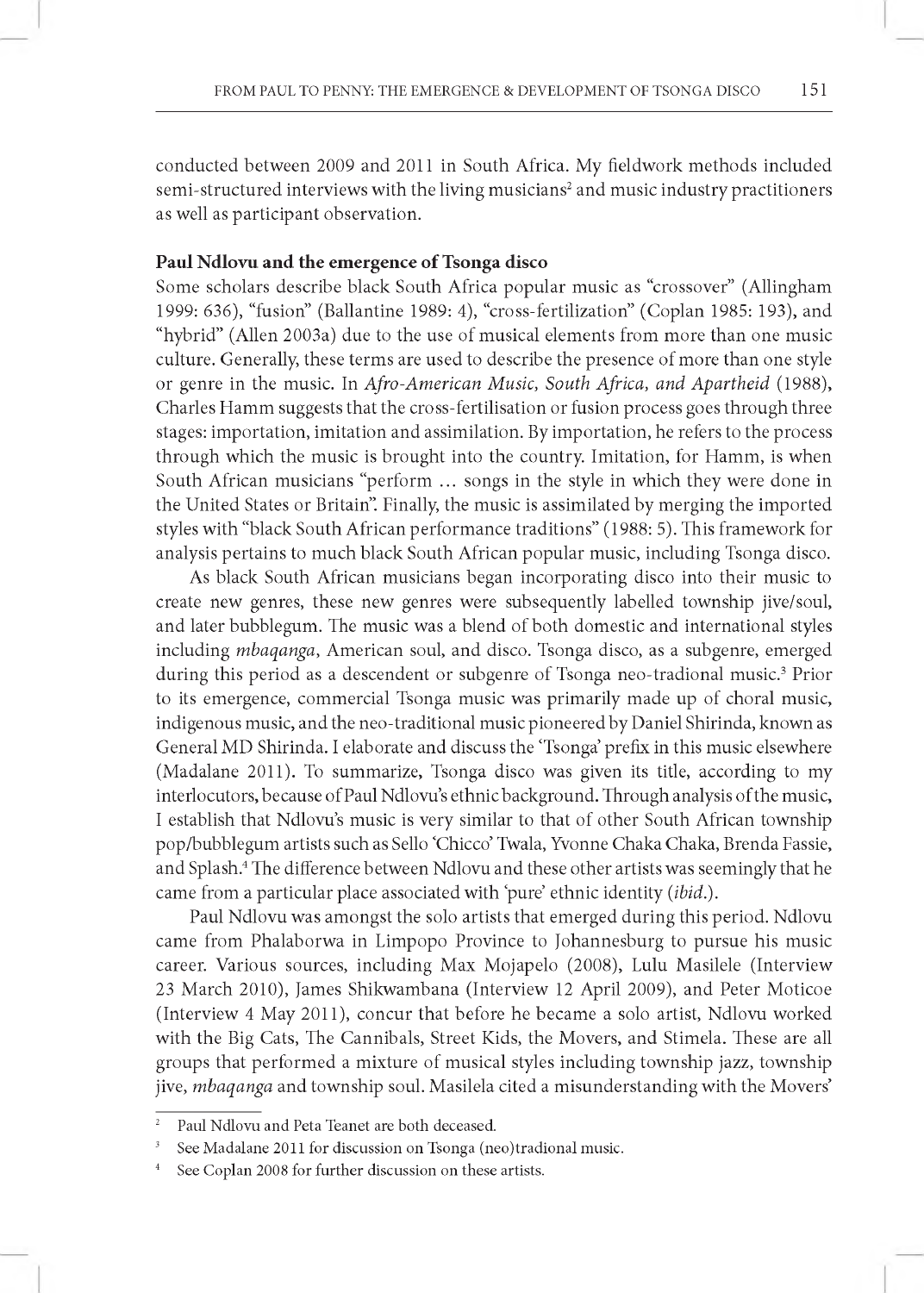conducted between 2009 and 2011 in South Africa. My fieldwork methods included semi-structured interviews with the living musicians<sup>2</sup> and music industry practitioners as well as participant observation.

#### **Paul Ndlovu and the emergence of Tsonga disco**

Some scholars describe black South Africa popular music as "crossover" (Allingham 1999: 636), "fusion" (Ballantine 1989: 4), "cross-fertilization" (Coplan 1985: 193), and "hybrid" (Allen 2003a) due to the use of musical elements from more than one music culture. Generally, these terms are used to describe the presence of more than one style or genre in the music. In *Afro-American Music, South Africa, and Apartheid* (1988), Charles Hamm suggests that the cross-fertilisation or fusion process goes through three stages: importation, imitation and assimilation. By importation, he refers to the process through which the music is brought into the country. Imitation, for Hamm, is when South African musicians "perform ... songs in the style in which they were done in the United States or Britain". Finally, the music is assimilated by merging the imported styles with "black South African performance traditions" (1988: 5). This framework for analysis pertains to much black South African popular music, including Tsonga disco.

As black South African musicians began incorporating disco into their music to create new genres, these new genres were subsequently labelled township jive/soul, and later bubblegum. The music was a blend of both domestic and international styles including *mbaqanga,* American soul, and disco. Tsonga disco, as a subgenre, emerged during this period as a descendent or subgenre of Tsonga neo-tradional music.<sup>3</sup> Prior to its emergence, commercial Tsonga music was primarily made up of choral music, indigenous music, and the neo-traditional music pioneered by Daniel Shirinda, known as General MD Shirinda. I elaborate and discuss the 'Tsonga' prefix in this music elsewhere (Madalane 2011). To summarize, Tsonga disco was given its title, according to my interlocutors, because of Paul Ndlovu's ethnic background. Through analysis of the music, 1 establish that Ndlovu's music is very similar to that of other South African township pop/bubblegum artists such as Sello 'Chicco' Twala, Yvonne Chaka Chaka, Brenda Fassie, and Splash.4 The difference between Ndlovu and these other artists was seemingly that he came from a particular place associated with 'pure' ethnic identity (ibid.).

Paul Ndlovu was amongst the solo artists that emerged during this period. Ndlovu came from Phalaborwa in Limpopo Province to Johannesburg to pursue his music career. Various sources, including Max Mojapelo (2008), Lulu Masilele (Interview 23 March 2010), James Shikwambana (Interview 12 April 2009), and Peter Moticoe (Interview 4 May 2011), concur that before he became a solo artist, Ndlovu worked with the Big Cats, The Cannibals, Street Kids, the Movers, and Stimela. These are all groups that performed a mixture of musical styles including township jazz, township jive, *mbaqanga* and township soul. Masilela cited a misunderstanding with the Movers'

Paul Ndlovu and Peta Teanet are both deceased.

See Madalane 2011 for discussion on Tsonga (neo)tradional music.

See Coplan 2008 for further discussion on these artists.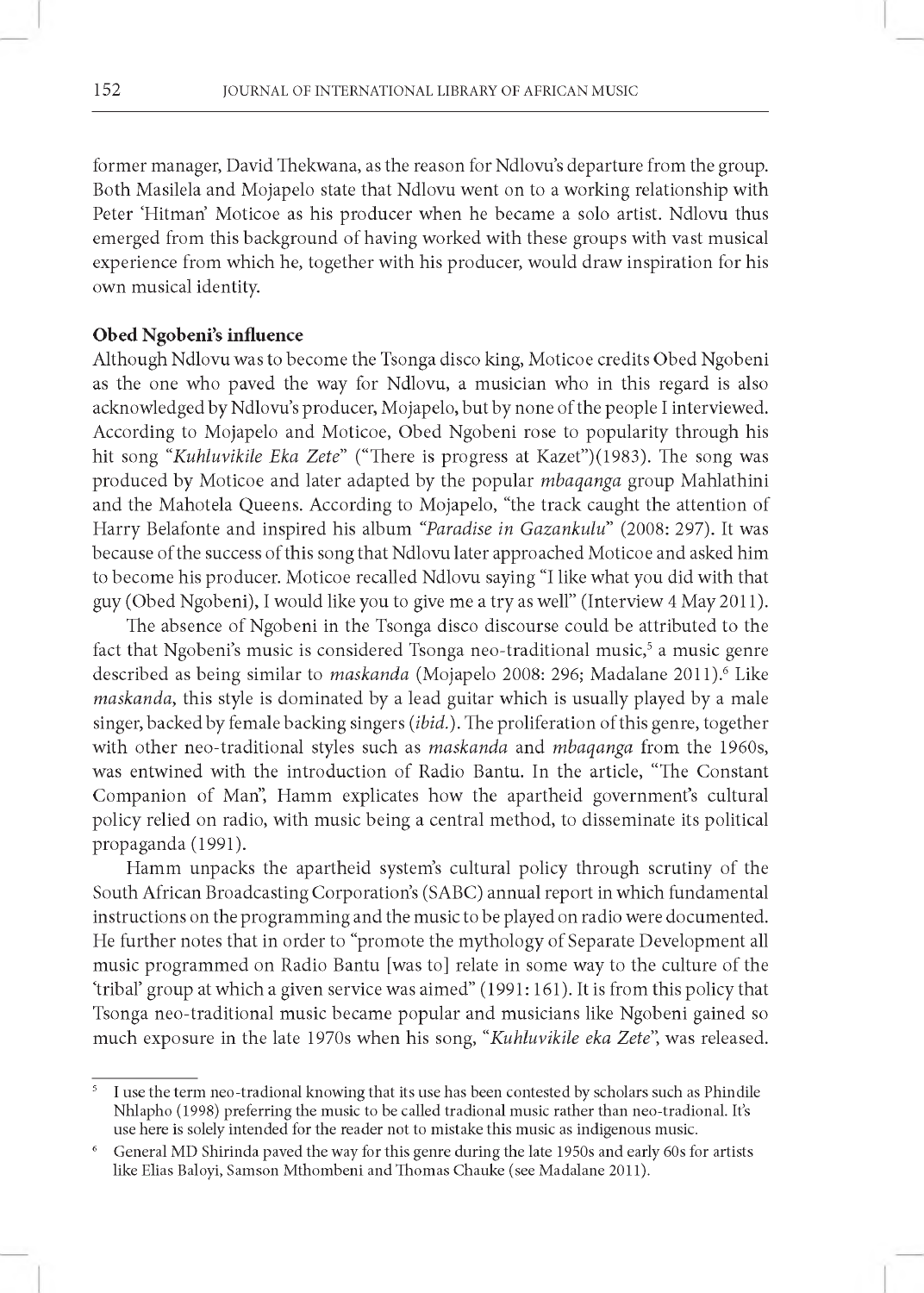former manager, David Thekwana, as the reason for Ndlovu's departure from the group. Both Masilela and Mojapelo state that Ndlovu went on to a working relationship with Peter 'Hitman' Moticoe as his producer when he became a solo artist. Ndlovu thus emerged from this background of having worked with these groups with vast musical experience from which he, together with his producer, would draw inspiration for his own musical identity.

## **Obed Ngobeni's influence**

Although Ndlovu was to become the Tsonga disco king, Moticoe credits Obed Ngobeni as the one who paved the way for Ndlovu, a musician who in this regard is also acknowledged by Ndlovu's producer, Mojapelo, but by none of the people I interviewed. According to Mojapelo and Moticoe, Obed Ngobeni rose to popularity through his hit song *"Kuhluvikile Eka Zete"* ("There is progress at Kazet")(1983). The song was produced by Moticoe and later adapted by the popular *m baqanga* group Mahlathini and the Mahotela Queens. According to Mojapelo, "the track caught the attention of Harry Belafonte and inspired his album *"Paradise in Gazankulu"* (2008: 297). It was because of the success of this song that Ndlovu later approached Moticoe and asked him to become his producer. Moticoe recalled Ndlovu saying "I like what you did with that guy (Obed Ngobeni), I would like you to give me a try as well" (Interview 4 May 2011).

The absence of Ngobeni in the Tsonga disco discourse could be attributed to the fact that Ngobeni's music is considered Tsonga neo-traditional music,<sup>5</sup> a music genre described as being similar to *maskanda* (Mojapelo 2008: 296; Madalane 2011).<sup>6</sup> Like *maskanda*, this style is dominated by a lead guitar which is usually played by a male singer, backed by female backing singers *(ibid.).* The proliferation of this genre, together with other neo-traditional styles such as *maskanda* and *mbaqanga* from the 1960s, was entwined with the introduction of Radio Bantu. In the article, "The Constant Companion of Man", Hamm explicates how the apartheid government's cultural policy relied on radio, with music being a central method, to disseminate its political propaganda (1991).

Hamm unpacks the apartheid system's cultural policy through scrutiny of the South African Broadcasting Corporation's (SABC) annual report in which fundamental instructions on the programming and the music to be played on radio were documented. He further notes that in order to "promote the mythology of Separate Development all music programmed on Radio Bantu [was to] relate in some way to the culture of the 'tribal' group at which a given service was aimed" (1991: 161). It is from this policy that Tsonga neo-traditional music became popular and musicians like Ngobeni gained so much exposure in the late 1970s when his song, "*Kuhluvikile eka Zete*", was released.

<sup>&</sup>lt;sup>5</sup> I use the term neo-tradional knowing that its use has been contested by scholars such as Phindile Nhlapho (1998) preferring the music to be called tradional music rather than neo-tradional. It's use here is solely intended for the reader not to mistake this music as indigenous music.

<sup>&</sup>lt;sup>6</sup> General MD Shirinda paved the way for this genre during the late 1950s and early 60s for artists like Elias Baloyi, Samson Mthombeni and Thomas Chauke (see Madalane 2011).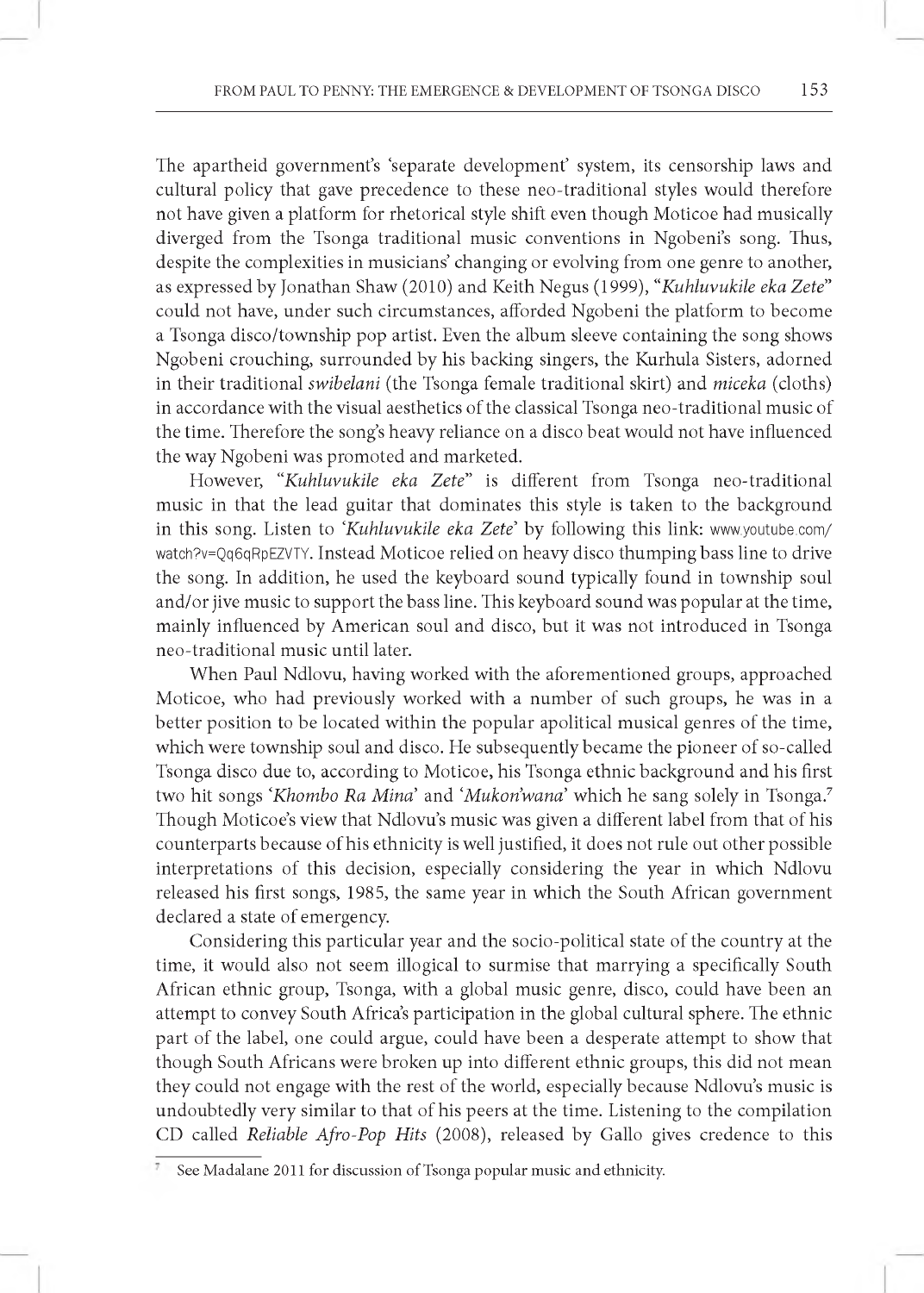The apartheid government's 'separate development' system, its censorship laws and cultural policy that gave precedence to these neo-traditional styles would therefore not have given a platform for rhetorical style shift even though Moticoe had musically diverged from the Tsonga traditional music conventions in Ngobeni's song. Thus, despite the complexities in musicians' changing or evolving from one genre to another, as expressed by Jonathan Shaw (2010) and Keith Negus (1999), *"Kuhluvukile eka Zete"* could not have, under such circumstances, afforded Ngobeni the platform to become a Tsonga disco/township pop artist. Even the album sleeve containing the song shows Ngobeni crouching, surrounded by his backing singers, the Kurhula Sisters, adorned in their traditional *swibelani* (the Tsonga female traditional skirt) and *miceka* (cloths) in accordance with the visual aesthetics of the classical Tsonga neo-traditional music of the time. Therefore the song's heavy reliance on a disco beat would not have influenced the way Ngobeni was promoted and marketed.

However, "*Kuhluvukile eka Zete"* is different from Tsonga neo-traditional music in that the lead guitar that dominates this style is taken to the background in this song. Listen to *'Kuhluvukile eka Zete'* by following this link: [www.youtube.com/](http://www.youtube.com/) watch?v=Qq6qRpEZVTY. Instead Moticoe relied on heavy disco thumping bass line to drive the song. In addition, he used the keyboard sound typically found in township soul and/or jive music to support the bass line. This keyboard sound was popular at the time, mainly influenced by American soul and disco, but it was not introduced in Tsonga neo-traditional music until later.

When Paul Ndlovu, having worked with the aforementioned groups, approached Moticoe, who had previously worked with a number of such groups, he was in a better position to be located within the popular apolitical musical genres of the time, which were township soul and disco. He subsequently became the pioneer of so-called Tsonga disco due to, according to Moticoe, his Tsonga ethnic background and his first two hit songs *'Khombo Ra Mina'* and *'Mukon'wana'* which he sang solely in Tsonga.<sup>7</sup> Though Moticoe's view that Ndlovu's music was given a different label from that of his counterparts because of his ethnicity is well justified, it does not rule out other possible interpretations of this decision, especially considering the year in which Ndlovu released his first songs, 1985, the same year in which the South African government declared a state of emergency.

Considering this particular year and the socio-political state of the country at the time, it would also not seem illogical to surmise that marrying a specifically South African ethnic group, Tsonga, with a global music genre, disco, could have been an attempt to convey South Africa's participation in the global cultural sphere. The ethnic part of the label, one could argue, could have been a desperate attempt to show that though South Africans were broken up into different ethnic groups, this did not mean they could not engage with the rest of the world, especially because Ndlovu's music is undoubtedly very similar to that of his peers at the time. Listening to the compilation CD called *Reliable Afro-Pop Hits* (2008), released by Gallo gives credence to this

See Madalane 2011 for discussion of Tsonga popular music and ethnicity.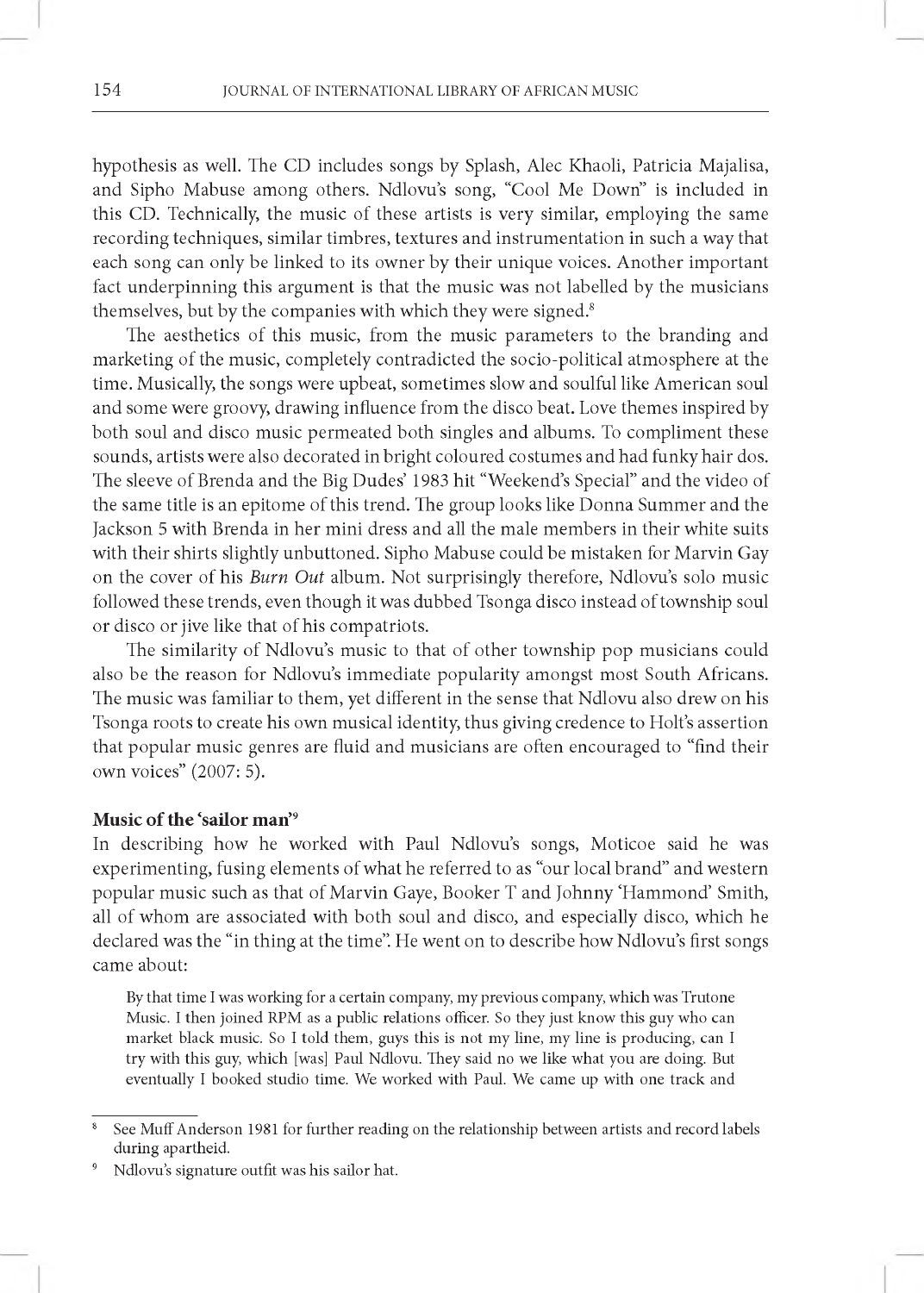hypothesis as well. The CD includes songs by Splash, Alec Khaoli, Patricia Majalisa, and Sipho Mabuse among others. Ndlovu's song, "Cool Me Down" is included in this CD. Technically, the music of these artists is very similar, employing the same recording techniques, similar timbres, textures and instrumentation in such a way that each song can only be linked to its owner by their unique voices. Another important fact underpinning this argument is that the music was not labelled by the musicians themselves, but by the companies with which they were signed.<sup>8</sup>

The aesthetics of this music, from the music parameters to the branding and marketing of the music, completely contradicted the socio-political atmosphere at the time. Musically, the songs were upbeat, sometimes slow and soulful like American soul and some were groovy, drawing influence from the disco beat. Love themes inspired by both soul and disco music permeated both singles and albums. To compliment these sounds, artists were also decorated in bright coloured costumes and had funky hair dos. The sleeve of Brenda and the Big Dudes' 1983 hit "Weekend's Special" and the video of the same title is an epitome of this trend. The group looks like Donna Summer and the Jackson 5 with Brenda in her mini dress and all the male members in their white suits with their shirts slightly unbuttoned. Sipho Mabuse could be mistaken for Marvin Gay on the cover of his *Burn Out* album. Not surprisingly therefore, Ndlovu's solo music followed these trends, even though it was dubbed Tsonga disco instead of township soul or disco or jive like that of his compatriots.

The similarity of Ndlovu's music to that of other township pop musicians could also be the reason for Ndlovu's immediate popularity amongst most South Africans. The music was familiar to them, yet different in the sense that Ndlovu also drew on his Tsonga roots to create his own musical identity, thus giving credence to Holt's assertion that popular music genres are fluid and musicians are often encouraged to "find their own voices" (2007: 5).

#### **Music of the 'sailor man**'9

In describing how he worked with Paul Ndlovu's songs, Moticoe said he was experimenting, fusing elements of what he referred to as "our local brand" and western popular music such as that of Marvin Gaye, Booker T and Johnny 'Hammond' Smith, all of whom are associated with both soul and disco, and especially disco, which he declared was the "in thing at the time". He went on to describe how Ndlovu's first songs came about:

By that time I was working for a certain company, my previous company, which was Trutone Music. I then joined RPM as a public relations officer. So they just know this guy who can market black music. So I told them, guys this is not my line, my line is producing, can I try with this guy, which [was] Paul Ndlovu. They said no we like what you are doing. But eventually I booked studio time. We worked with Paul. We came up with one track and

<sup>9</sup> Ndlovu's signature outfit was his sailor hat.

<sup>&</sup>lt;sup>8</sup> See Muff Anderson 1981 for further reading on the relationship between artists and record labels during apartheid.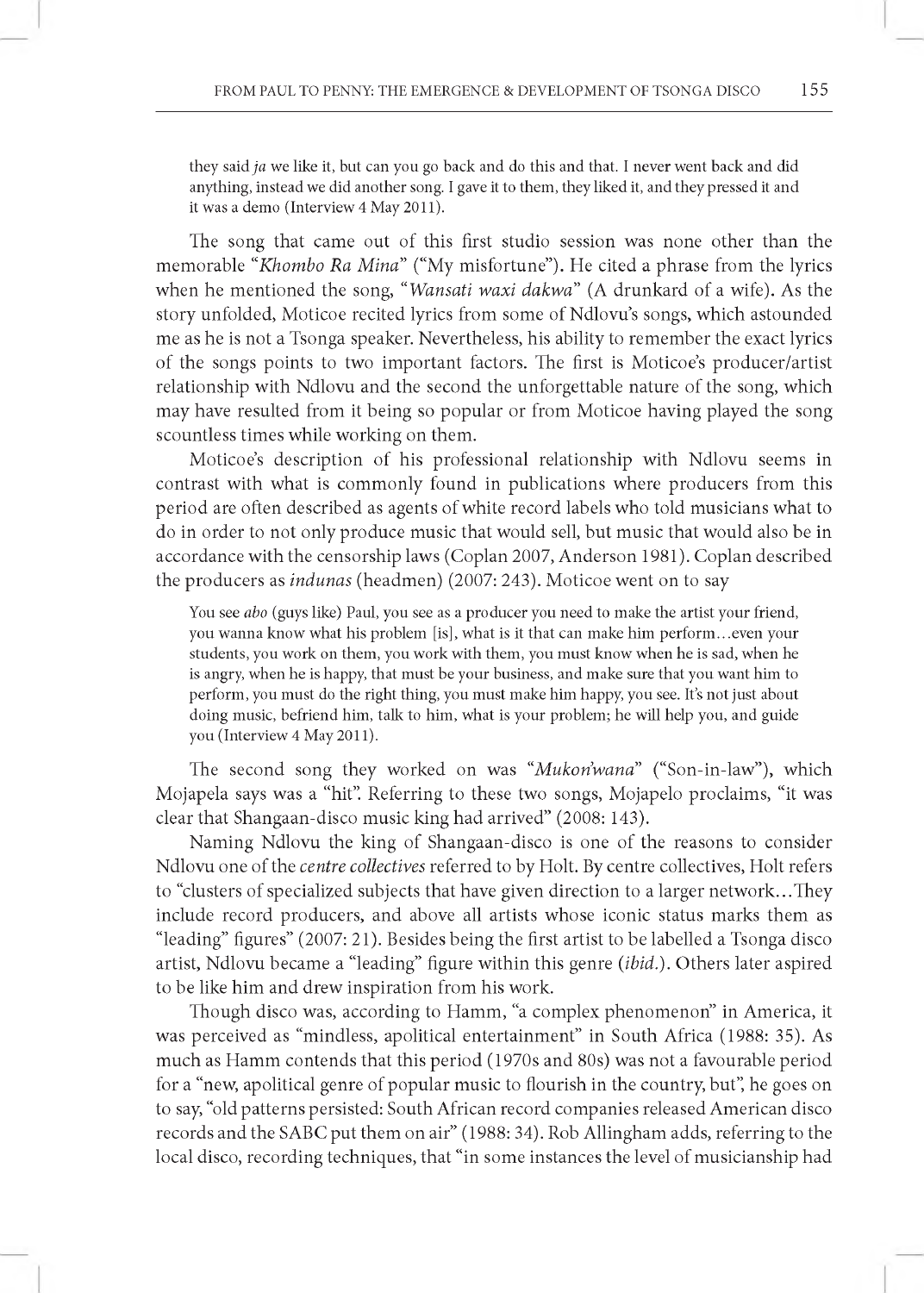they said *ja* we like it, but can you go back and do this and that. I never went back and did anything, instead we did another song. I gave it to them , they liked it, and they pressed it and it was a demo (Interview 4 May 2011).

The song that came out of this first studio session was none other than the memorable "Khombo Ra Mina" ("My misfortune"). He cited a phrase from the lyrics when he mentioned the song, "*Wansati waxi dakwa*" (A drunkard of a wife). As the story unfolded, Moticoe recited lyrics from some of Ndlovu's songs, which astounded me as he is not a Tsonga speaker. Nevertheless, his ability to remember the exact lyrics of the songs points to two important factors. The first is Moticoe's producer/artist relationship with Ndlovu and the second the unforgettable nature of the song, which may have resulted from it being so popular or from Moticoe having played the song scountless times while working on them.

Moticoe's description of his professional relationship with Ndlovu seems in contrast with what is commonly found in publications where producers from this period are often described as agents of white record labels who told musicians what to do in order to not only produce music that would sell, but music that would also be in accordance with the censorship laws (Coplan 2007, Anderson 1981). Coplan described the producers as *indunas* (headmen) (2007: 243). Moticoe went on to say

You see *abo* (guys like) Paul, you see as a producer you need to make the artist your friend, you wanna know what his problem [is], what is it that can make him perform...even your students, you work on them, you work with them, you must know when he is sad, when he is angry, when he is happy, that must be your business, and m ake sure that you want him to perform, you must do the right thing, you must make him happy, you see. It's not just about doing music, befriend him, talk to him, what is your problem; he will help you, and guide you (Interview 4 May 2011).

The second song they worked on was *"Mukon'wana"* ("Son-in-law"), which Mojapela says was a "hit". Referring to these two songs, Mojapelo proclaims, "it was clear that Shangaan-disco music king had arrived" (2008: 143).

Naming Ndlovu the king of Shangaan-disco is one of the reasons to consider Ndlovu one of the *centre collectives* referred to by Holt. By centre collectives, Holt refers to "clusters of specialized subjects that have given direction to a larger network...They include record producers, and above all artists whose iconic status marks them as "leading" figures" (2007: 21). Besides being the first artist to be labelled a Tsonga disco artist, Ndlovu became a "leading" figure within this genre *(ibid.).* Others later aspired to be like him and drew inspiration from his work.

Though disco was, according to Hamm, "a complex phenomenon" in America, it was perceived as "mindless, apolitical entertainment" in South Africa (1988: 35). As much as Hamm contends that this period (1970s and 80s) was not a favourable period for a "new, apolitical genre of popular music to flourish in the country, but", he goes on to say, "old patterns persisted: South African record companies released American disco records and the SABC put them on air" (1988: 34). Rob Allingham adds, referring to the local disco, recording techniques, that "in some instances the level of musicianship had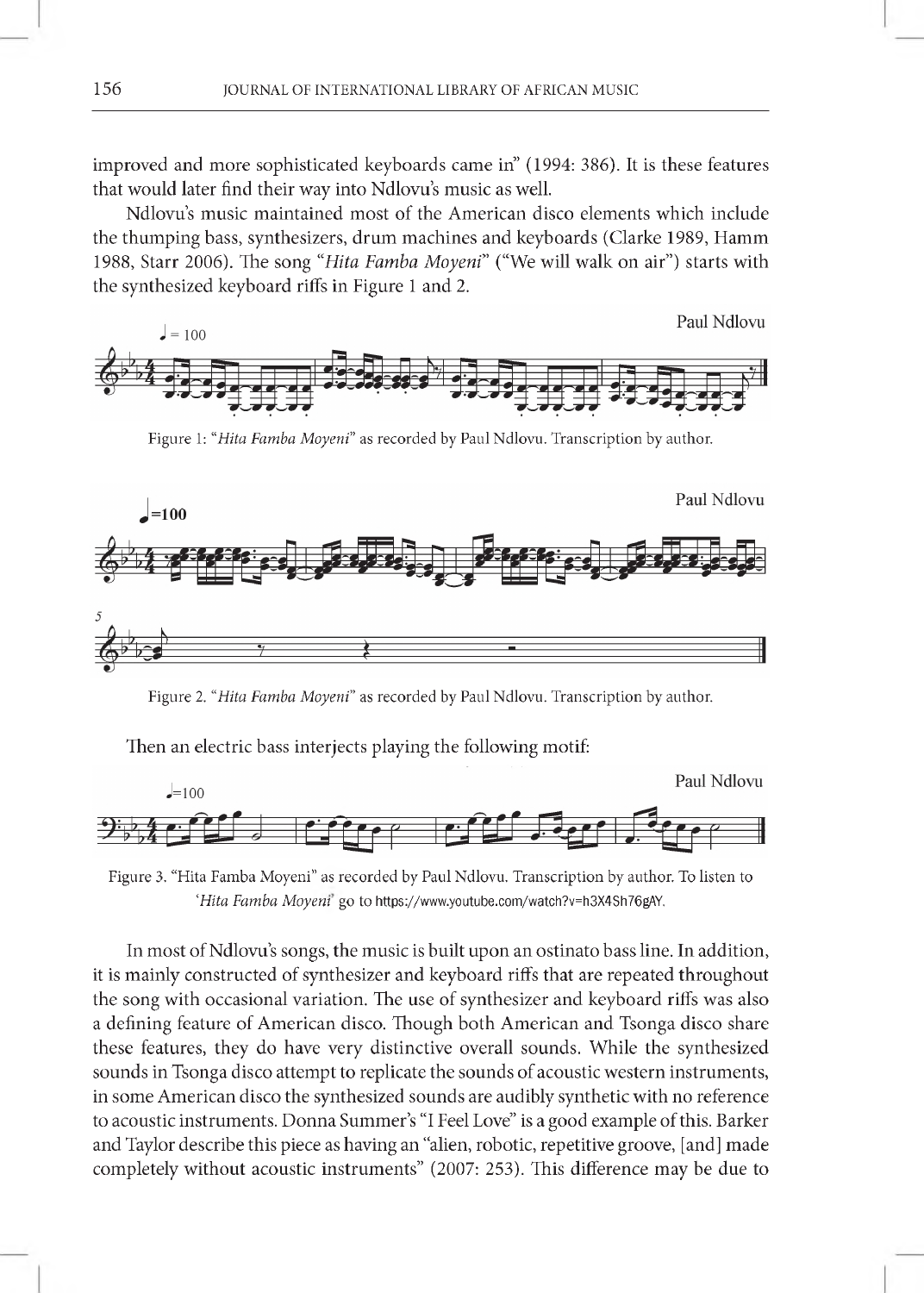improved and more sophisticated keyboards came in" (1994: 386). It is these features that would later find their way into Ndlovu's music as well.

Ndlovu's music maintained most of the American disco elements which include the thumping bass, synthesizers, drum machines and keyboards (Clarke 1989, Hamm 1988, Starr 2006). The song "Hita Famba Moyeni" ("We will walk on air") starts with the synthesized keyboard riffs in Figure 1 and 2.



Figure 1: "Hita Famba Moyeni" as recorded by Paul Ndlovu. Transcription by author.



Figure 2. "Hita Famba Moyeni" as recorded by Paul Ndlovu. Transcription by author.

Then an electric bass interjects playing the following motif:



Figure 3. "Hita Famba Moyeni" as recorded by Paul Ndlovu. Transcription by author. To listen to *'Hita Famba Moyeni'* go to <https://www.youtube.com/watch?v=h3X4Sh76gAY>.

In most of Ndlovu's songs, the music is built upon an ostinato bass line. In addition, it is mainly constructed of synthesizer and keyboard riffs that are repeated throughout the song with occasional variation. The use of synthesizer and keyboard riffs was also a defining feature of American disco. Though both American and Tsonga disco share these features, they do have very distinctive overall sounds. While the synthesized sounds in Tsonga disco attempt to replicate the sounds of acoustic western instruments, in some American disco the synthesized sounds are audibly synthetic with no reference to acoustic instruments. Donna Summer's "I Feel Love" is a good example of this. Barker and Taylor describe this piece as having an "alien, robotic, repetitive groove, [and] made completely without acoustic instruments" (2007: 253). This difference may be due to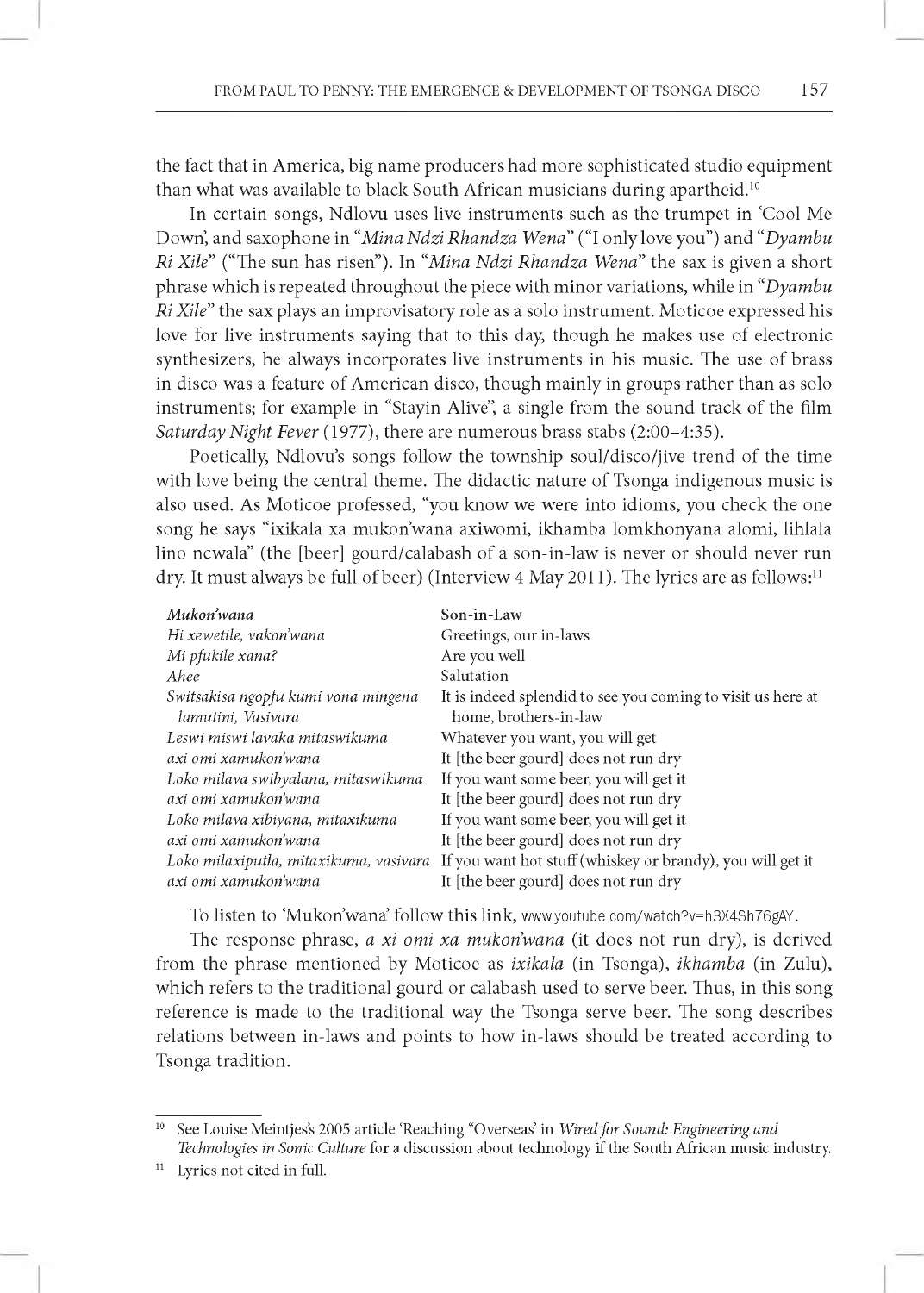the fact that in America, big name producers had more sophisticated studio equipment than what was available to black South African musicians during apartheid.<sup>10</sup>

In certain songs, Ndlovu uses live instruments such as the trumpet in 'Cool Me Down, and saxophone in "*Mina Ndzi Rhandza Wena"* ("I only love you") and "*Dyambu Ri Xile"* ("The sun has risen"). In "*Mina Ndzi Rhandza Wena"* the sax is given a short phrase which is repeated throughout the piece with minor variations, while in *"Dyambu Ri Xile"* the sax plays an improvisatory role as a solo instrument. Moticoe expressed his love for live instruments saying that to this day, though he makes use of electronic synthesizers, he always incorporates live instruments in his music. The use of brass in disco was a feature of American disco, though mainly in groups rather than as solo instruments; for example in "Stayin Alive", a single from the sound track of the film *Saturday Night Fever* (1977), there are numerous brass stabs (2:00-4:35).

Poetically, Ndlovu's songs follow the township soul/disco/jive trend of the time with love being the central theme. The didactic nature of Tsonga indigenous music is also used. As Moticoe professed, "you know we were into idioms, you check the one song he says "ixikala xa mukon'wana axiwomi, ikhamba lomkhonyana alomi, lihlala lino ncwala" (the [beer] gourd/calabash of a son-in-law is never or should never run dry. It must always be full of beer) (Interview 4 May 2011). The lyrics are as follows:<sup>11</sup>

| Mukon'wana                             | Son-in-Law                                                  |
|----------------------------------------|-------------------------------------------------------------|
| Hi xewetile, vakon'wana                | Greetings, our in-laws                                      |
| Mi pfukile xana?                       | Are you well                                                |
| Ahee                                   | Salutation                                                  |
| Switsakisa ngopfu kumi vona mingena    | It is indeed splendid to see you coming to visit us here at |
| lamutini, Vasivara                     | home, brothers-in-law                                       |
| Leswi miswi lavaka mitaswikuma         | Whatever you want, you will get                             |
| axi omi xamukon'wana                   | It [the beer gourd] does not run dry                        |
| Loko milava swibyalana, mitaswikuma    | If you want some beer, you will get it                      |
| axi omi xamukon'wana                   | It [the beer gourd] does not run dry                        |
| Loko milava xibiyana, mitaxikuma       | If you want some beer, you will get it                      |
| axi omi xamukon'wana                   | It [the beer gourd] does not run dry                        |
| Loko milaxiputla, mitaxikuma, vasivara | If you want hot stuff (whiskey or brandy), you will get it  |
| axi omi xamukon'wana                   | It [the beer gourd] does not run dry                        |

To listen to 'Mukon'wana' follow this link, [www.youtube.com/watch?v=h3X4Sh76gAY](http://www.youtube.com/watch?v=h3X4Sh76gAY).

The response phrase, *a xi omi xa mukon'wana* (it does not run dry), is derived from the phrase mentioned by Moticoe as *ixikala* (in Tsonga), *ikhamba* (in Zulu), which refers to the traditional gourd or calabash used to serve beer. Thus, in this song reference is made to the traditional way the Tsonga serve beer. The song describes relations between in-laws and points to how in-laws should be treated according to Tsonga tradition.

<sup>5</sup>ee Louise Meintjes's 2005 article 'Reaching "Overseas' in *Wired for Sound: Engineering and Technologies in Sonic Culture* for a discussion about technology if the South African music industry.

Lyrics not cited in full.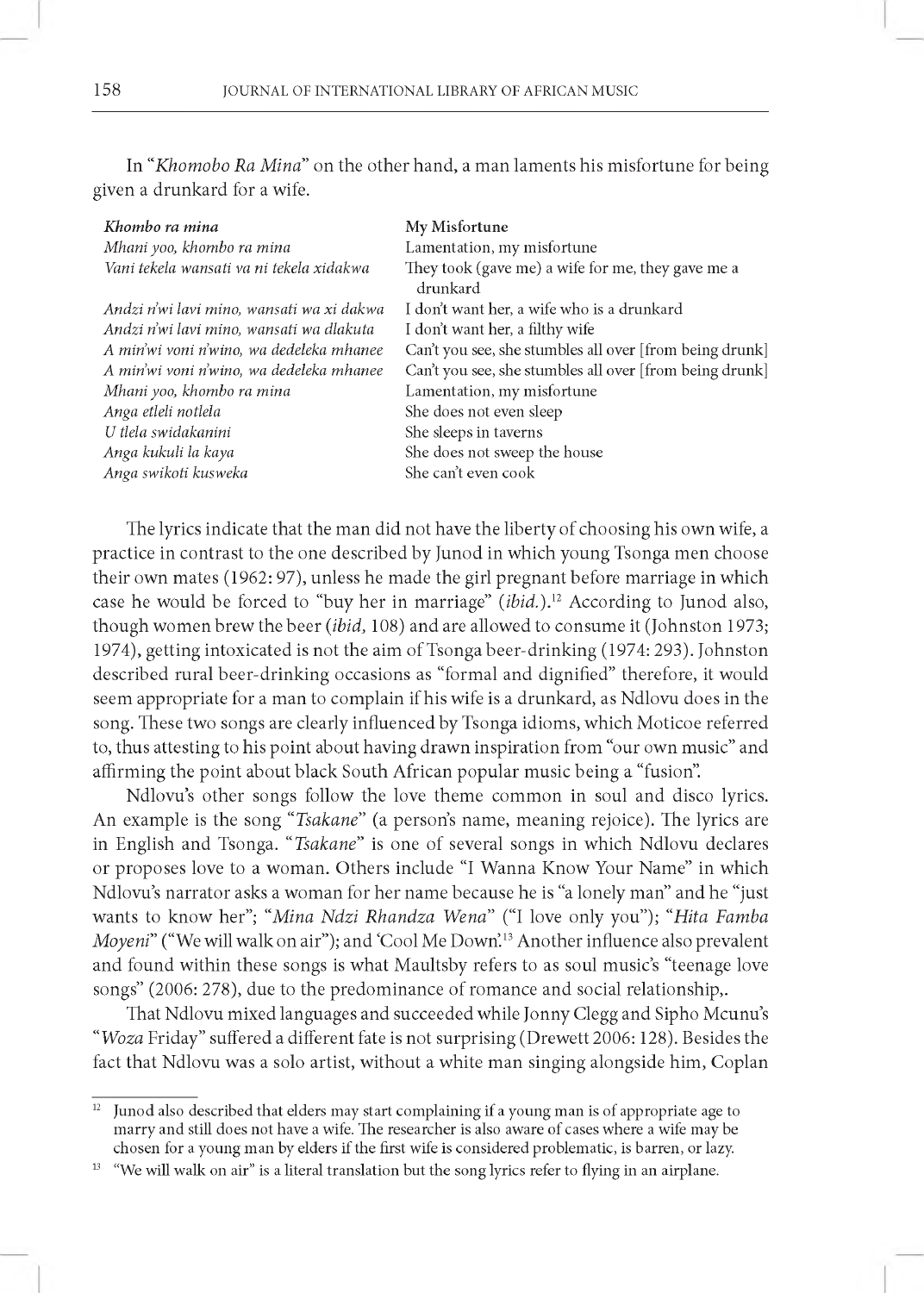In "Khomobo Ra Mina" on the other hand, a man laments his misfortune for being given a drunkard for a wife.

| Khombo ra mina                            | My Misfortune                                                 |
|-------------------------------------------|---------------------------------------------------------------|
| Mhani yoo, khombo ra mina                 | Lamentation, my misfortune                                    |
| Vani tekela wansati va ni tekela xidakwa  | They took (gave me) a wife for me, they gave me a<br>drunkard |
| Andzi n'wi lavi mino, wansati wa xi dakwa | I don't want her, a wife who is a drunkard                    |
| Andzi n'wi lavi mino, wansati wa dlakuta  | I don't want her, a filthy wife                               |
| A min'wi voni n'wino, wa dedeleka mhanee  | Can't you see, she stumbles all over [from being drunk]       |
| A min'wi voni n'wino, wa dedeleka mhanee  | Can't you see, she stumbles all over [from being drunk]       |
| Mhani yoo, khombo ra mina                 | Lamentation, my misfortune                                    |
| Anga etleli notlela                       | She does not even sleep                                       |
| U tlela swidakanini                       | She sleeps in taverns                                         |
| Anga kukuli la kaya                       | She does not sweep the house                                  |
| Anga swikoti kusweka                      | She can't even cook                                           |
|                                           |                                                               |

The lyrics indicate that the man did not have the liberty of choosing his own wife, a practice in contrast to the one described by Junod in which young Tsonga men choose their own mates (1962: 97), unless he made the girl pregnant before marriage in which case he would be forced to "buy her in marriage" *(ibid.)}2* According to Junod also, though women brew the beer *(ibid,* 108) and are allowed to consume it (Johnston 1973; 1974), getting intoxicated is not the aim of Tsonga beer-drinking (1974: 293). Johnston described rural beer-drinking occasions as "formal and dignified" therefore, it would seem appropriate for a man to complain if his wife is a drunkard, as Ndlovu does in the song. These two songs are clearly influenced by Tsonga idioms, which Moticoe referred to, thus attesting to his point about having drawn inspiration from "our own music" and affirming the point about black South African popular music being a "fusion".

Ndlovu's other songs follow the love theme common in soul and disco lyrics. An example is the song *"Tsakane"* (a person's name, meaning rejoice). The lyrics are in English and Tsonga. *"Tsakane"* is one of several songs in which Ndlovu declares or proposes love to a woman. Others include "I Wanna Know Your Name" in which Ndlovu's narrator asks a woman for her name because he is "a lonely man" and he "just wants to know her"; "Mina Ndzi Rhandza Wena" ("I love only you"); "Hita Famba *Moyeni*" ("We will walk on air"); and 'Cool Me Down'.<sup>13</sup> Another influence also prevalent and found within these songs is what Maultsby refers to as soul music's "teenage love songs" (2006: 278), due to the predominance of romance and social relationship,.

That Ndlovu mixed languages and succeeded while Jonny Clegg and Sipho Mcunu's *"Woza* Friday" suffered a different fate is not surprising (Drewett 2006: 128). Besides the fact that Ndlovu was a solo artist, without a white man singing alongside him, Coplan

<sup>&</sup>lt;sup>12</sup> Junod also described that elders may start complaining if a young man is of appropriate age to marry and still does not have a wife. The researcher is also aware of cases where a wife may be chosen for a young man by elders if the first wife is considered problematic, is barren, or lazy.

<sup>&</sup>lt;sup>13</sup> "We will walk on air" is a literal translation but the song lyrics refer to flying in an airplane.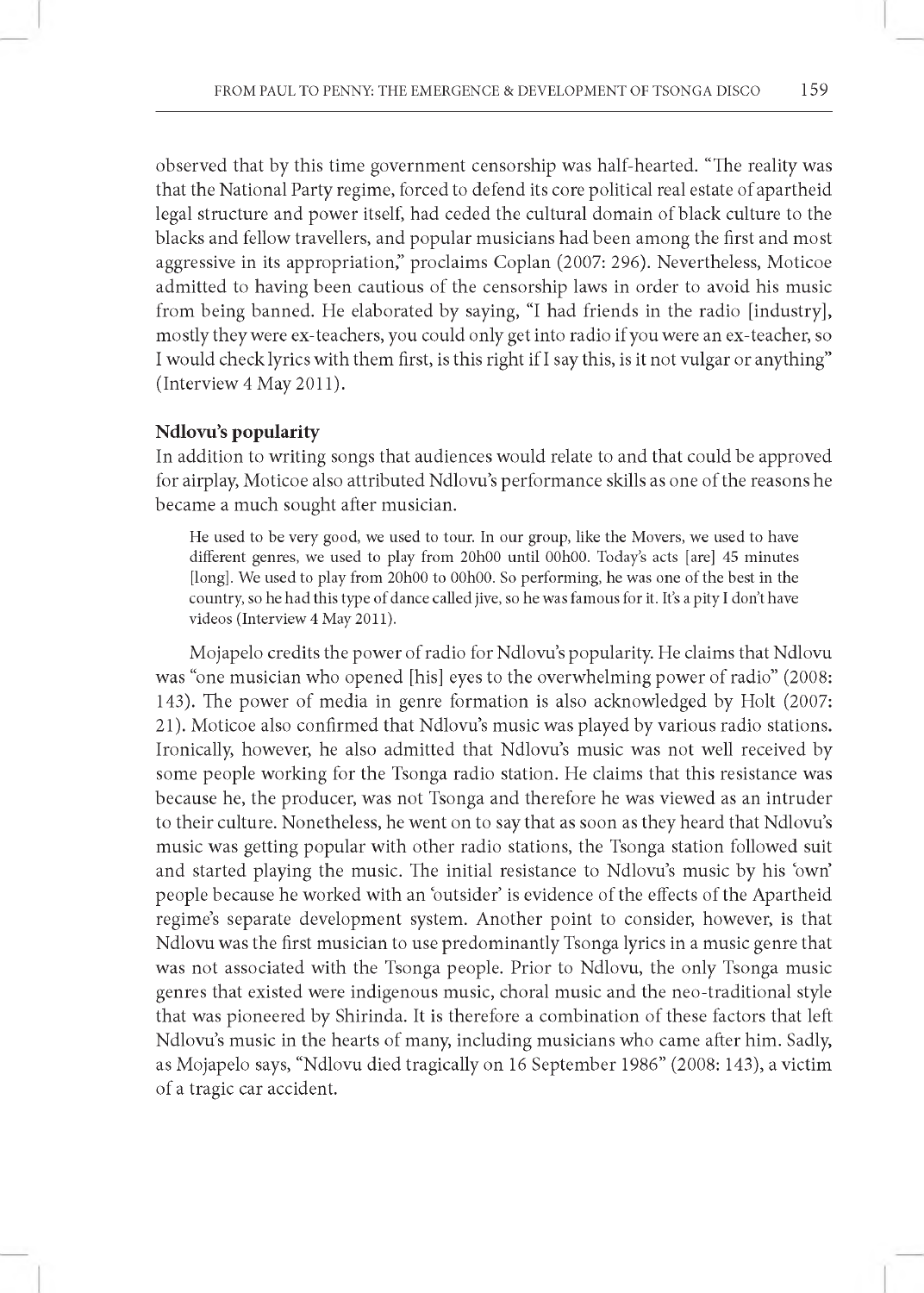observed that by this time government censorship was half-hearted. "The reality was that the National Party regime, forced to defend its core political real estate of apartheid legal structure and power itself, had ceded the cultural domain of black culture to the blacks and fellow travellers, and popular musicians had been among the first and most aggressive in its appropriation," proclaims Coplan (2007: 296). Nevertheless, Moticoe admitted to having been cautious of the censorship laws in order to avoid his music from being banned. He elaborated by saying, "I had friends in the radio [industry], mostly they were ex-teachers, you could only get into radio if you were an ex-teacher, so I would check lyrics with them first, is this right if I say this, is it not vulgar or anything" (Interview 4 May 2011).

#### **Ndlovu's popularity**

In addition to writing songs that audiences would relate to and that could be approved for airplay, Moticoe also attributed Ndlovu's performance skills as one of the reasons he became a much sought after musician.

He used to be very good, we used to tour. In our group, like the Movers, we used to have different genres, we used to play from 20h00 until 00h00. Today's acts [are] 45 minutes [long]. We used to play from 20h00 to 00h00. So performing, he was one of the best in the country, so he had this type of dance called jive, so he was famous for it. It's a pity I don't have videos (Interview 4 May 2011).

Mojapelo credits the power of radio for Ndlovu's popularity. He claims that Ndlovu was "one musician who opened [his] eyes to the overwhelming power of radio" (2008: 143). The power of media in genre formation is also acknowledged by Holt (2007: 21). Moticoe also confirmed that Ndlovu's music was played by various radio stations. Ironically, however, he also admitted that Ndlovu's music was not well received by some people working for the Tsonga radio station. He claims that this resistance was because he, the producer, was not Tsonga and therefore he was viewed as an intruder to their culture. Nonetheless, he went on to say that as soon as they heard that Ndlovu's music was getting popular with other radio stations, the Tsonga station followed suit and started playing the music. The initial resistance to Ndlovu's music by his 'own' people because he worked with an 'outsider' is evidence of the effects of the Apartheid regime's separate development system. Another point to consider, however, is that Ndlovu was the first musician to use predominantly Tsonga lyrics in a music genre that was not associated with the Tsonga people. Prior to Ndlovu, the only Tsonga music genres that existed were indigenous music, choral music and the neo-traditional style that was pioneered by Shirinda. It is therefore a combination of these factors that left Ndlovu's music in the hearts of many, including musicians who came after him. Sadly, as Mojapelo says, "Ndlovu died tragically on 16 September 1986" (2008: 143), a victim of a tragic car accident.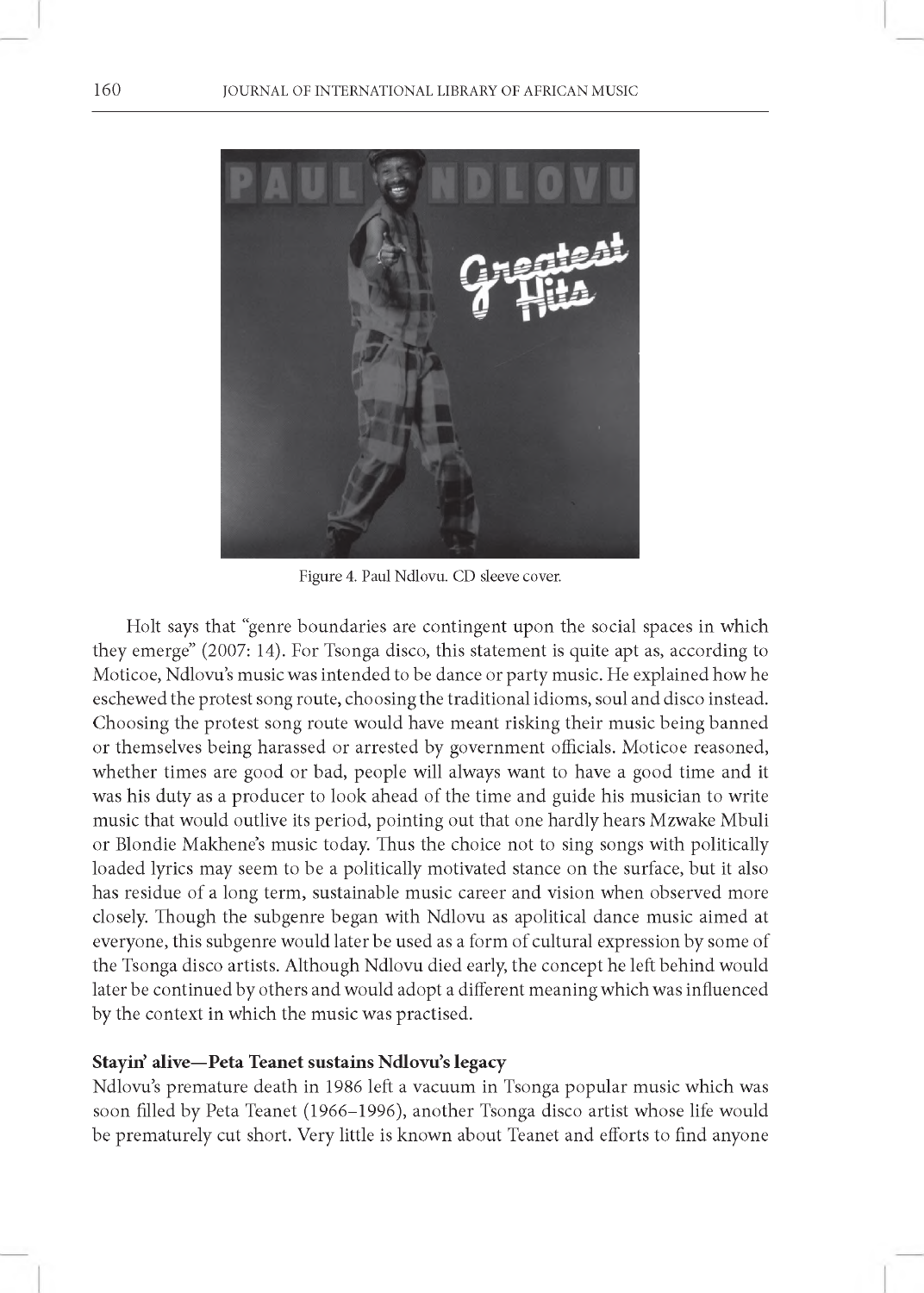

Figure 4. Paul Ndlovu. CD sleeve cover.

Holt says that "genre boundaries are contingent upon the social spaces in which they emerge" (2007: 14). For Tsonga disco, this statement is quite apt as, according to Moticoe, Ndlovu's music was intended to be dance or party music. He explained how he eschewed the protest song route, choosing the traditional idioms, soul and disco instead. Choosing the protest song route would have meant risking their music being banned or themselves being harassed or arrested by government officials. Moticoe reasoned, whether times are good or bad, people will always want to have a good time and it was his duty as a producer to look ahead of the time and guide his musician to write music that would outlive its period, pointing out that one hardly hears Mzwake Mbuli or Blondie Makhene's music today. Thus the choice not to sing songs with politically loaded lyrics may seem to be a politically motivated stance on the surface, but it also has residue of a long term, sustainable music career and vision when observed more closely. Though the subgenre began with Ndlovu as apolitical dance music aimed at everyone, this subgenre would later be used as a form of cultural expression by some of the Tsonga disco artists. Although Ndlovu died early, the concept he left behind would later be continued by others and would adopt a different meaning which was influenced by the context in which the music was practised.

## **Stayin' alive—Peta Teanet sustains Ndlovu's legacy**

Ndlovu's premature death in 1986 left a vacuum in Tsonga popular music which was soon filled by Peta Teanet (1966-1996), another Tsonga disco artist whose life would be prematurely cut short. Very little is known about Teanet and efforts to find anyone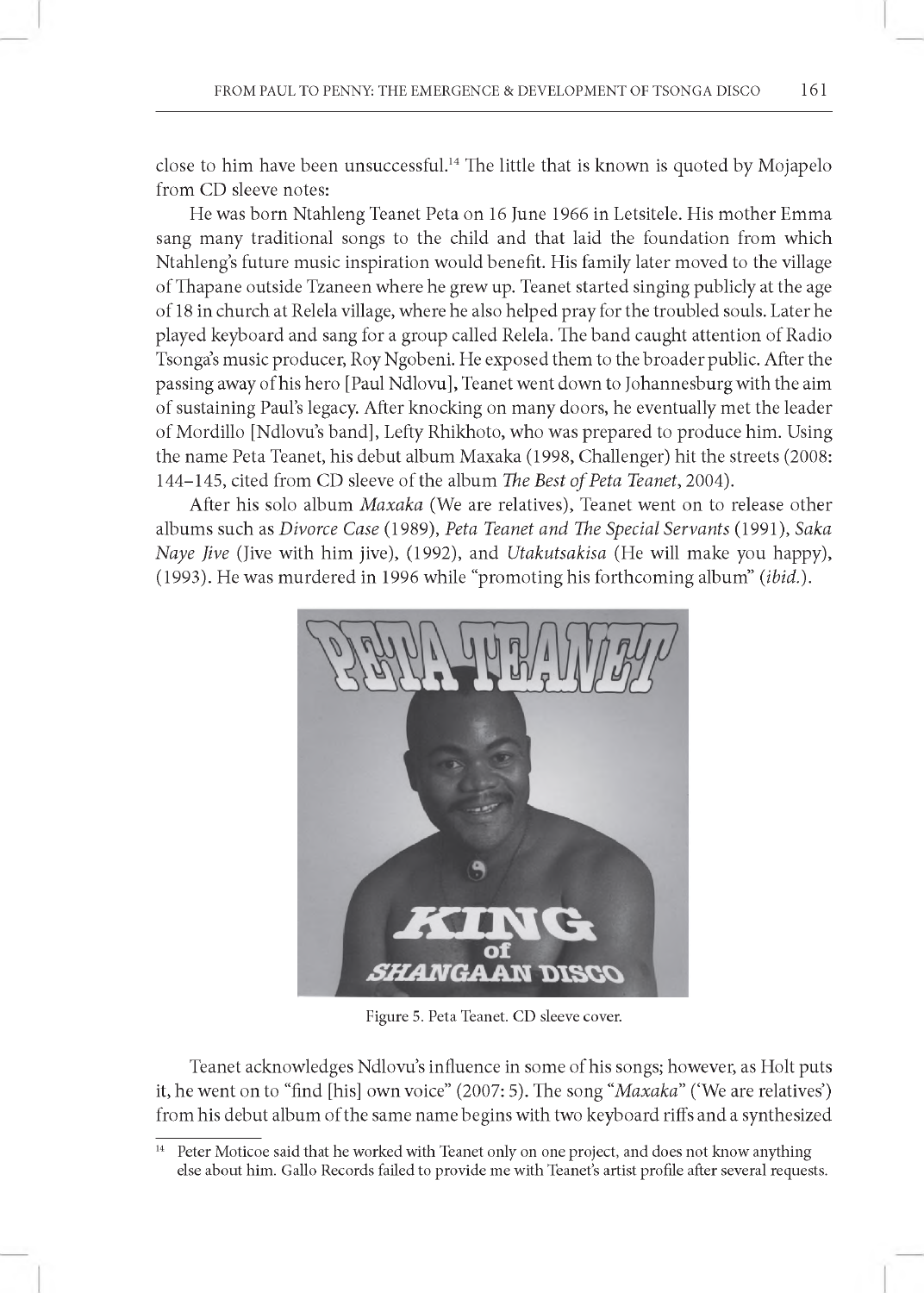close to him have been unsuccessful.14 The little that is known is quoted by Mojapelo from CD sleeve notes:

He was born Ntahleng Teanet Peta on 16 June 1966 in Letsitele. His mother Emma sang many traditional songs to the child and that laid the foundation from which Ntahleng's future music inspiration would benefit. His family later moved to the village of Thapane outside Tzaneen where he grew up. Teanet started singing publicly at the age of18 in church at Relela village, where he also helped pray for the troubled souls. Later he played keyboard and sang for a group called Relela. The band caught attention of Radio Tsonga's music producer, Roy Ngobeni. He exposed them to the broader public. After the passing away of his hero [Paul Ndlovu], Teanet went down to Johannesburg with the aim of sustaining Paul's legacy. After knocking on many doors, he eventually met the leader of Mordillo [Ndlovu's band], Lefty Rhikhoto, who was prepared to produce him. Using the name Peta Teanet, his debut album Maxaka (1998, Challenger) hit the streets (2008: 144-145, cited from CD sleeve of the album *The Best of Peta Teanet,* 2004).

After his solo album *Maxaka* (We are relatives), Teanet went on to release other albums such as *Divorce Case* (1989), *Peta Teanet and The Special Servants* (1991), *Saka Naye Jive* (Jive with him jive), (1992), and *Utakutsakisa* (He will make you happy), (1993). He was murdered in 1996 while "promoting his forthcoming album" *(ibid.).*



Figure 5. Peta Teanet. CD sleeve cover.

Teanet acknowledges Ndlovu's influence in some of his songs; however, as Holt puts it, he went on to "find [his] own voice" (2007: 5). The song *"Maxaka"* ('We are relatives') from his debut album of the same name begins with two keyboard riffs and a synthesized

<sup>&</sup>lt;sup>14</sup> Peter Moticoe said that he worked with Teanet only on one project, and does not know anything else about him . Gallo Records failed to provide me with Teanet's artist profile after several requests.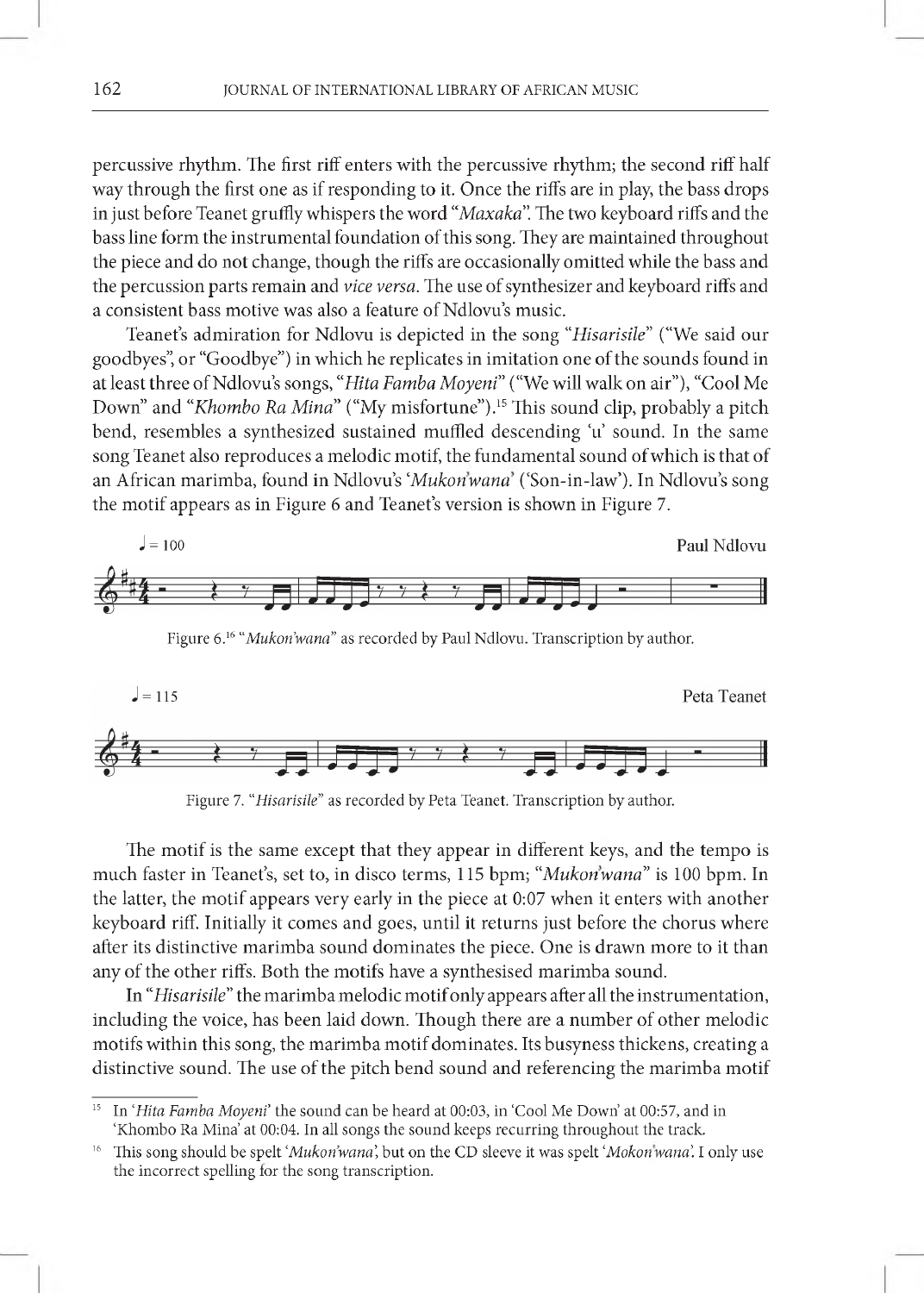percussive rhythm. The first riff enters with the percussive rhythm; the second riff half way through the first one as if responding to it. Once the riffs are in play, the bass drops in just before Teanet gruffly whispers the word "*Maxaka*". The two keyboard riffs and the bass line form the instrumental foundation of this song. They are maintained throughout the piece and do not change, though the riffs are occasionally omitted while the bass and the percussion parts remain and *vice versa.* The use of synthesizer and keyboard riffs and a consistent bass motive was also a feature of Ndlovu's music.

Teanet's admiration for Ndlovu is depicted in the song *"Hisarisile"* ("We said our goodbyes", or "Goodbye") in which he replicates in imitation one of the sounds found in at least three of Ndlovu's songs, *"Hita Famba Moyeni*" ("We will walk on air"), "Cool Me Down" and "*Khombo Ra Mina*" ("My misfortune").<sup>15</sup> This sound clip, probably a pitch bend, resembles a synthesized sustained muffled descending 'u' sound. In the same song Teanet also reproduces a melodic motif, the fundamental sound of which is that of an African marimba, found in Ndlovu's 'Mukon'wana' ('Son-in-law'). In Ndlovu's song the motif appears as in Figure 6 and Teanet's version is shown in Figure 7.







The motif is the same except that they appear in different keys, and the tempo is much faster in Teanet's, set to, in disco terms, 115 bpm; "Mukon'wana" is 100 bpm. In the latter, the motif appears very early in the piece at 0:07 when it enters with another keyboard riff. Initially it comes and goes, until it returns just before the chorus where after its distinctive marimba sound dominates the piece. One is drawn more to it than any of the other riffs. Both the motifs have a synthesised marimba sound.

In *"Hisarisile"* the marimba melodic motif only appears after all the instrumentation, including the voice, has been laid down. Though there are a number of other melodic motifs within this song, the marimba motif dominates. Its busyness thickens, creating a distinctive sound. The use of the pitch bend sound and referencing the marimba motif

In 'Hita Famba Moyeni' the sound can be heard at 00:03, in 'Cool Me Down' at 00:57, and in 'Khombo Ra Mina' at 00:04. In all songs the sound keeps recurring throughout the track.

<sup>&</sup>lt;sup>16</sup> This song should be spelt '*Mukon'wana*', but on the CD sleeve it was spelt '*Mokon'wana*'. I only use the incorrect spelling for the song transcription.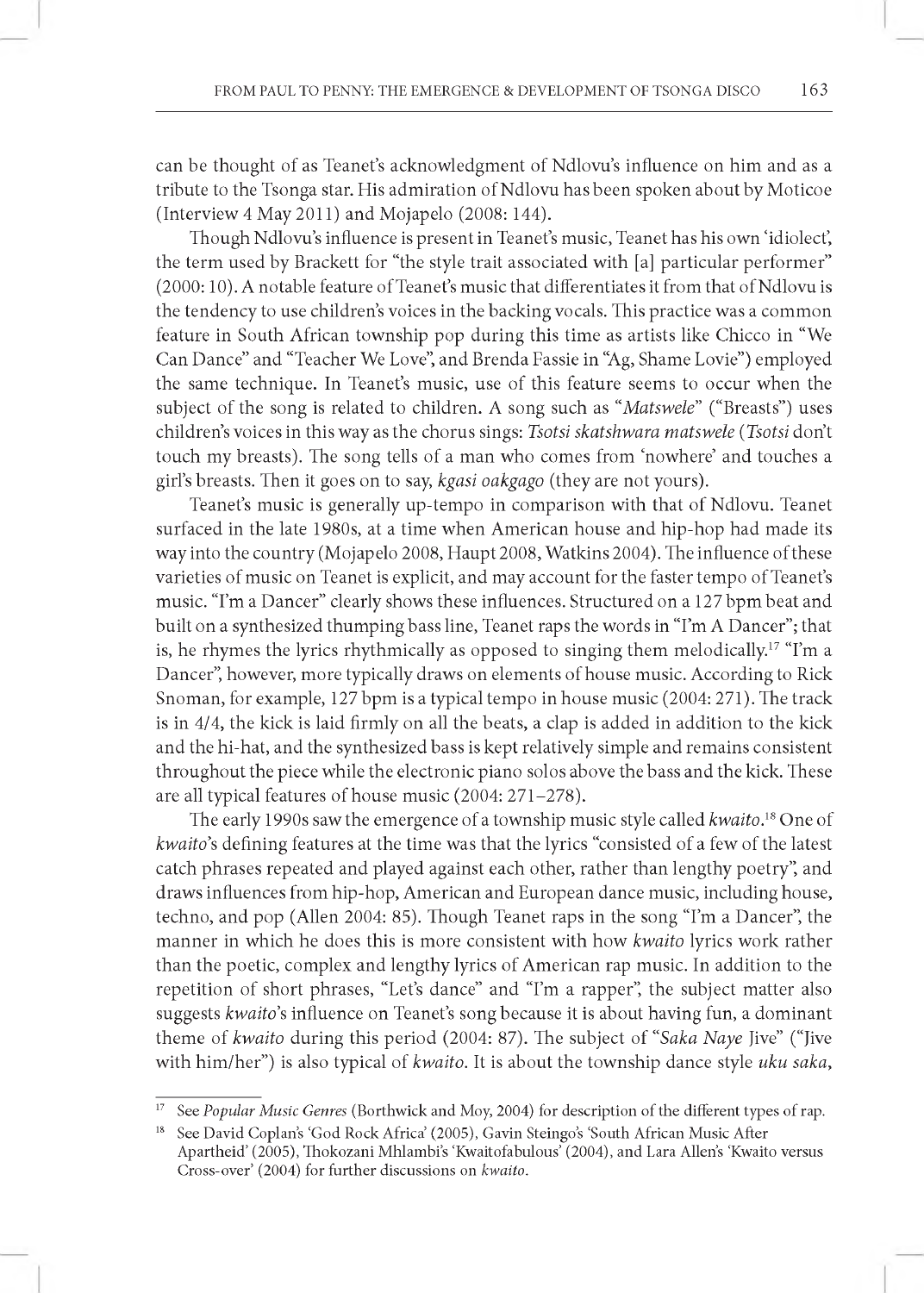can be thought of as Teanet's acknowledgment of Ndlovu's influence on him and as a tribute to the Tsonga star. His admiration of Ndlovu has been spoken about by Moticoe (Interview 4 May 2011) and Mojapelo (2008: 144).

Though Ndlovu's influence is present in Teanet's music, Teanet has his own 'idiolect', the term used by Brackett for "the style trait associated with [a] particular performer" (2000: 10). A notable feature of Teanet's music that differentiates it from that of Ndlovu is the tendency to use children's voices in the backing vocals. This practice was a common feature in South African township pop during this time as artists like Chicco in "We Can Dance" and "Teacher We Love", and Brenda Fassie in "Ag, Shame Lovie") employed the same technique. In Teanet's music, use of this feature seems to occur when the subject of the song is related to children. A song such as *"Matswele"* ("Breasts") uses children's voices in this way as the chorus sings: *Tsotsi skatshwara matswele (Tsotsi* don't touch my breasts). The song tells of a man who comes from 'nowhere' and touches a girl's breasts. Then it goes on to say, *kgasi oakgago* (they are not yours).

Teanet's music is generally up-tempo in comparison with that of Ndlovu. Teanet surfaced in the late 1980s, at a time when American house and hip-hop had made its way into the country (Mojapelo 2008, Haupt 2008, Watkins 2004). The influence of these varieties of music on Teanet is explicit, and may account for the faster tempo of Teanet's music. "I'm a Dancer" clearly shows these influences. Structured on a 127 bpm beat and built on a synthesized thumping bass line, Teanet raps the words in "I'm A Dancer"; that is, he rhymes the lyrics rhythmically as opposed to singing them melodically.<sup>17</sup> "I'm a Dancer", however, more typically draws on elements of house music. According to Rick Snoman, for example, 127 bpm is a typical tempo in house music (2004: 271). The track is in 4/4, the kick is laid firmly on all the beats, a clap is added in addition to the kick and the hi-hat, and the synthesized bass is kept relatively simple and remains consistent throughout the piece while the electronic piano solos above the bass and the kick. These are all typical features of house music (2004: 271-278).

The early 1990s saw the emergence of a township music style called *kwaito*.18 One of *kwaito's* defining features at the time was that the lyrics "consisted of a few of the latest catch phrases repeated and played against each other, rather than lengthy poetry", and draws influences from hip-hop, American and European dance music, including house, techno, and pop (Allen 2004: 85). Though Teanet raps in the song "I'm a Dancer", the manner in which he does this is more consistent with how *kwaito* lyrics work rather than the poetic, complex and lengthy lyrics of American rap music. In addition to the repetition of short phrases, "Let's dance" and "I'm a rapper", the subject matter also suggests *kwaito*'s influence on Teanet's song because it is about having fun, a dominant theme of *kwaito* during this period (2004: 87). The subject of "*Saka Naye* Jive" ("Jive with him/her") is also typical of *kwaito.* It is about the township dance style *uku saka,*

See *Popular Music Genres* (Borthwick and Moy, 2004) for description of the different types of rap.

<sup>&</sup>lt;sup>18</sup> See David Coplan's 'God Rock Africa' (2005), Gavin Steingo's 'South African Music After Apartheid' (2005), Thokozani Mhlambi's 'Kwaitofabulous' (2004), and Lara Allen's 'Kwaito versus Cross-over' (2004) for further discussions on *kwaito*.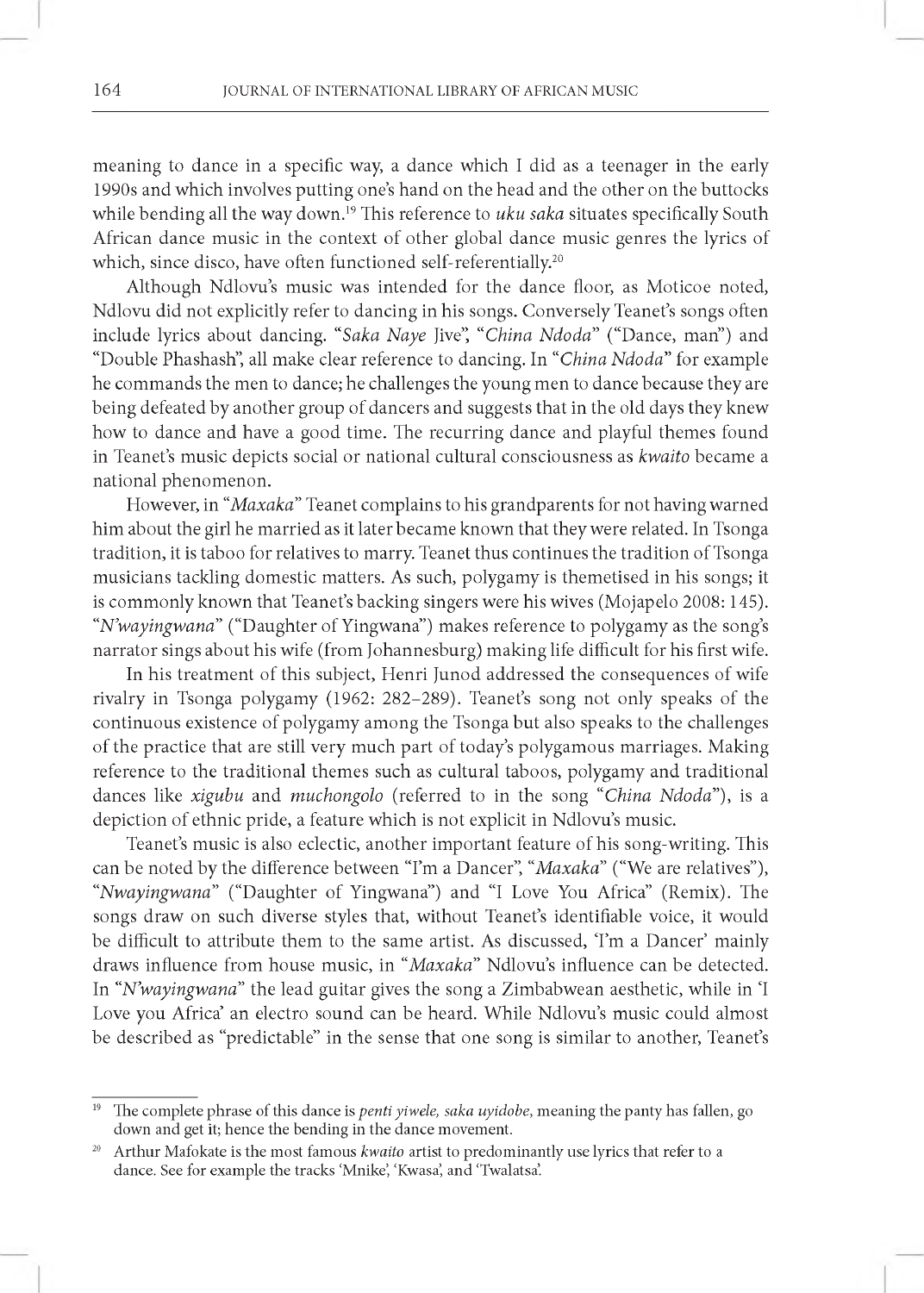meaning to dance in a specific way, a dance which I did as a teenager in the early 1990s and which involves putting one's hand on the head and the other on the buttocks while bending all the way down.<sup>19</sup> This reference to *uku saka* situates specifically South African dance music in the context of other global dance music genres the lyrics of which, since disco, have often functioned self-referentially.<sup>20</sup>

Although Ndlovu's music was intended for the dance floor, as Moticoe noted, Ndlovu did not explicitly refer to dancing in his songs. Conversely Teanet's songs often include lyrics about dancing. "*Saka Naye* Jive", "*China Ndoda"* ("Dance, man") and "Double Phashash", all make clear reference to dancing. In *"China Ndoda"* for example he commands the men to dance; he challenges the young men to dance because they are being defeated by another group of dancers and suggests that in the old days they knew how to dance and have a good time. The recurring dance and playful themes found in Teanet's music depicts social or national cultural consciousness as *kwaito* became a national phenomenon.

However, in *"Maxaka"* Teanet complains to his grandparents for not having warned him about the girl he married as it later became known that they were related. In Tsonga tradition, it is taboo for relatives to marry. Teanet thus continues the tradition of Tsonga musicians tackling domestic matters. As such, polygamy is themetised in his songs; it is commonly known that Teanet's backing singers were his wives (Mojapelo 2008: 145). *"N 'wayingwana"* ("Daughter of Yingwana") makes reference to polygamy as the song's narrator sings about his wife (from Johannesburg) making life difficult for his first wife.

In his treatment of this subject, Henri Junod addressed the consequences of wife rivalry in Tsonga polygamy (1962: 282-289). Teanet's song not only speaks of the continuous existence of polygamy among the Tsonga but also speaks to the challenges of the practice that are still very much part of today's polygamous marriages. Making reference to the traditional themes such as cultural taboos, polygamy and traditional dances like *xigubu* and *muchongolo* (referred to in the song "*China Ndoda"),* is a depiction of ethnic pride, a feature which is not explicit in Ndlovu's music.

Teanet's music is also eclectic, another important feature of his song-writing. This can be noted by the difference between "I'm a Dancer", *"Maxaka"* ("We are relatives"), *"Nwayingwana"* ("Daughter of Yingwana") and "I Love You Africa" (Remix). The songs draw on such diverse styles that, without Teanet's identifiable voice, it would be difficult to attribute them to the same artist. As discussed, 'I'm a Dancer' mainly draws influence from house music, in "*Maxaka*" Ndlovu's influence can be detected. In *"N 'wayingwana"* the lead guitar gives the song a Zimbabwean aesthetic, while in 'I Love you Africa' an electro sound can be heard. While Ndlovu's music could almost be described as "predictable" in the sense that one song is similar to another, Teanet's

The complete phrase of this dance is *penti yiwele, saka uyidobe*, meaning the panty has fallen, go down and get it; hence the bending in the dance movement.

<sup>&</sup>lt;sup>20</sup> Arthur Mafokate is the most famous *kwaito* artist to predominantly use lyrics that refer to a dance. See for example the tracks 'Mnike', 'Kwasa', and 'Twalatsa'.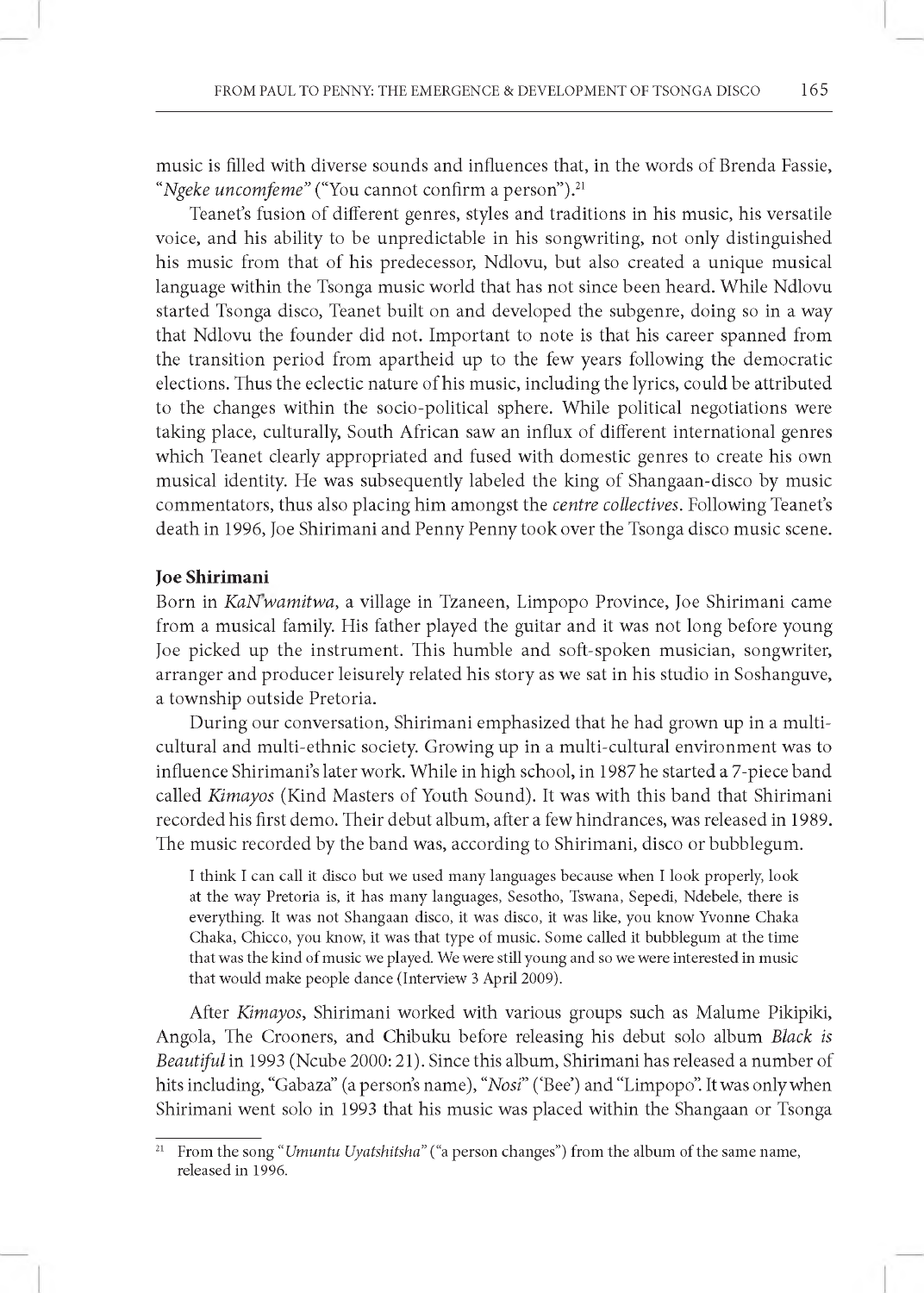music is filled with diverse sounds and influences that, in the words of Brenda Fassie, *"Ngeke uncomfeme"* ("You cannot confirm a person").21

Teanet's fusion of different genres, styles and traditions in his music, his versatile voice, and his ability to be unpredictable in his songwriting, not only distinguished his music from that of his predecessor, Ndlovu, but also created a unique musical language within the Tsonga music world that has not since been heard. While Ndlovu started Tsonga disco, Teanet built on and developed the subgenre, doing so in a way that Ndlovu the founder did not. Important to note is that his career spanned from the transition period from apartheid up to the few years following the democratic elections. Thus the eclectic nature of his music, including the lyrics, could be attributed to the changes within the socio-political sphere. While political negotiations were taking place, culturally, South African saw an influx of different international genres which Teanet clearly appropriated and fused with domestic genres to create his own musical identity. He was subsequently labeled the king of Shangaan-disco by music commentators, thus also placing him amongst the *centre collectives.* Following Teanet's death in 1996, Joe Shirimani and Penny Penny took over the Tsonga disco music scene.

#### **Joe Shirimani**

Born in *KaNwamitwa,* a village in Tzaneen, Limpopo Province, Joe Shirimani came from a musical family. His father played the guitar and it was not long before young Joe picked up the instrument. This humble and soft-spoken musician, songwriter, arranger and producer leisurely related his story as we sat in his studio in Soshanguve, a township outside Pretoria.

During our conversation, Shirimani emphasized that he had grown up in a multicultural and multi-ethnic society. Growing up in a multi-cultural environment was to influence Shirimani's later work. While in high school, in 1987 he started a 7-piece band called *Kimayos* (Kind Masters of Youth Sound). It was with this band that Shirimani recorded his first demo. Their debut album, after a few hindrances, was released in 1989. The music recorded by the band was, according to Shirimani, disco or bubblegum.

I think I can call it disco but we used many languages because when I look properly, look at the way Pretoria is, it has many languages, Sesotho, Tswana, Sepedi, Ndebele, there is everything. It was not Shangaan disco, it was disco, it was like, you know Yvonne Chaka Chaka, Chicco, you know, it was that type of music. Some called it bubblegum at the time that was the kind of music we played. We were still young and so we were interested in music that would make people dance (Interview 3 April 2009).

After *Kimayos,* Shirimani worked with various groups such as Malume Pikipiki, Angola, The Crooners, and Chibuku before releasing his debut solo album *Black is Beautiful* in 1993 (Ncube 2000: 21). Since this album, Shirimani has released a number of hits including, "Gabaza" (a person's name), *"Nosi"* ('Bee') and "Limpopo". It was only when Shirimani went solo in 1993 that his music was placed within the Shangaan or Tsonga

<sup>&</sup>lt;sup>21</sup> From the song "*Umuntu Uyatshitsha*" ("a person changes") from the album of the same name, released in 1996.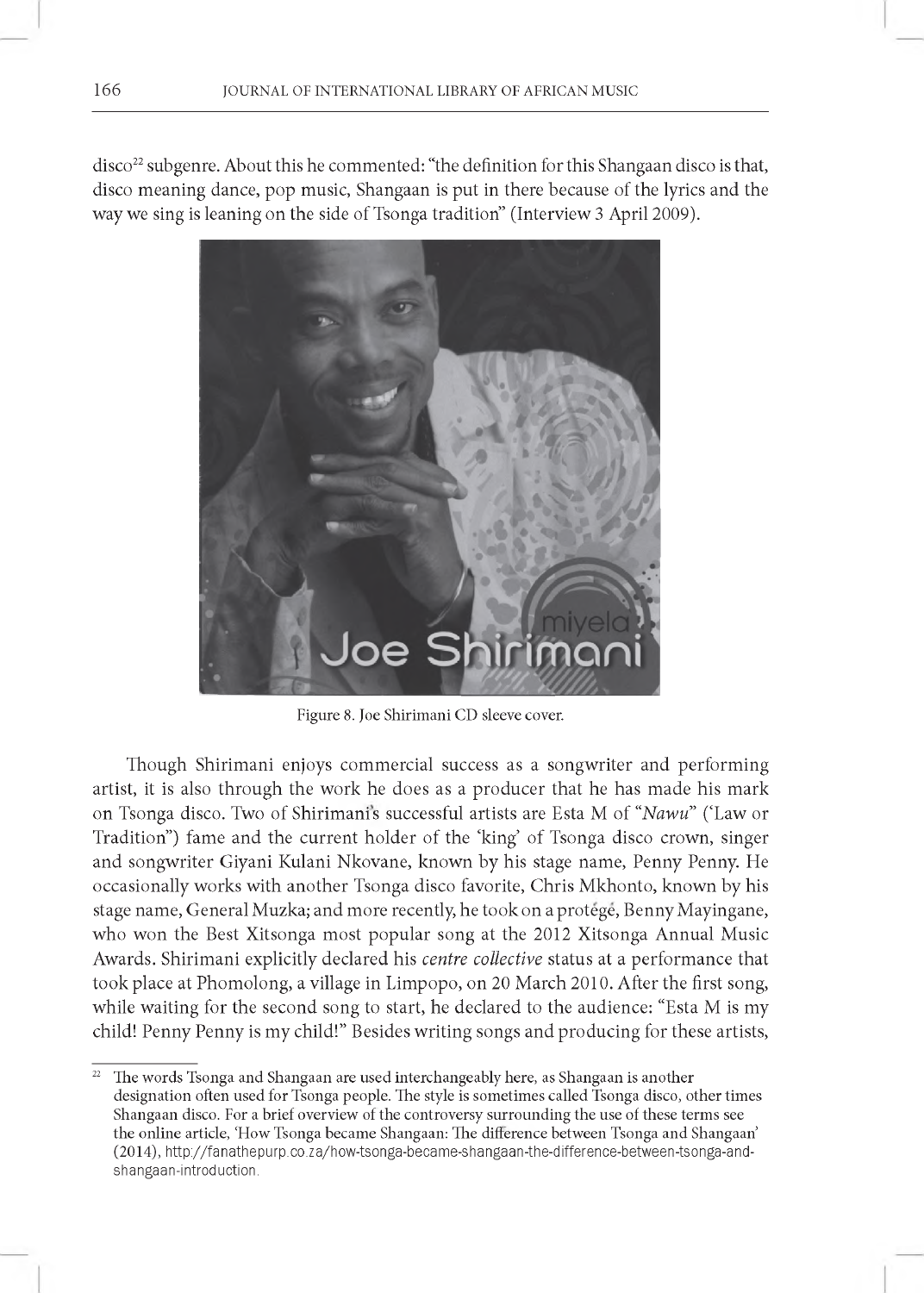disco<sup>22</sup> subgenre. About this he commented: "the definition for this Shangaan disco is that, disco meaning dance, pop music, Shangaan is put in there because of the lyrics and the way we sing is leaning on the side of Tsonga tradition" (Interview 3 April 2009).



Figure 8. Joe Shirimani CD sleeve cover.

Though Shirimani enjoys commercial success as a songwriter and performing artist, it is also through the work he does as a producer that he has made his mark on Tsonga disco. Two of Shirimanis successful artists are Esta M of *"Nawu"* ('Law or Tradition") fame and the current holder of the 'king' of Tsonga disco crown, singer and songwriter Giyani Kulani Nkovane, known by his stage name, Penny Penny. He occasionally works with another Tsonga disco favorite, Chris Mkhonto, known by his stage name, General Muzka; and more recently, he took on a protege, Benny Mayingane, who won the Best Xitsonga most popular song at the 2012 Xitsonga Annual Music Awards. Shirimani explicitly declared his *centre collective* status at a performance that took place at Phomolong, a village in Limpopo, on 20 March 2010. After the first song, while waiting for the second song to start, he declared to the audience: "Esta M is my child! Penny Penny is my child!" Besides writing songs and producing for these artists,

The words Tsonga and Shangaan are used interchangeably here, as Shangaan is another designation often used for Tsonga people. The style is sometimes called Tsonga disco, other times Shangaan disco. For a brief overview of the controversy surrounding the use of these terms see the online article, 'How Tsonga became Shangaan: The difference between Tsonga and Shangaan' (2 0 1 4 ), [http://fanathepurp.co.za/how-tsonga-became-shangaan-the-difference-between-tsonga-and](http://fanathepurp.co.za/how-tsonga-became-shangaan-the-difference-between-tsonga-and-shangaan-introduction)[shangaan-introduction](http://fanathepurp.co.za/how-tsonga-became-shangaan-the-difference-between-tsonga-and-shangaan-introduction).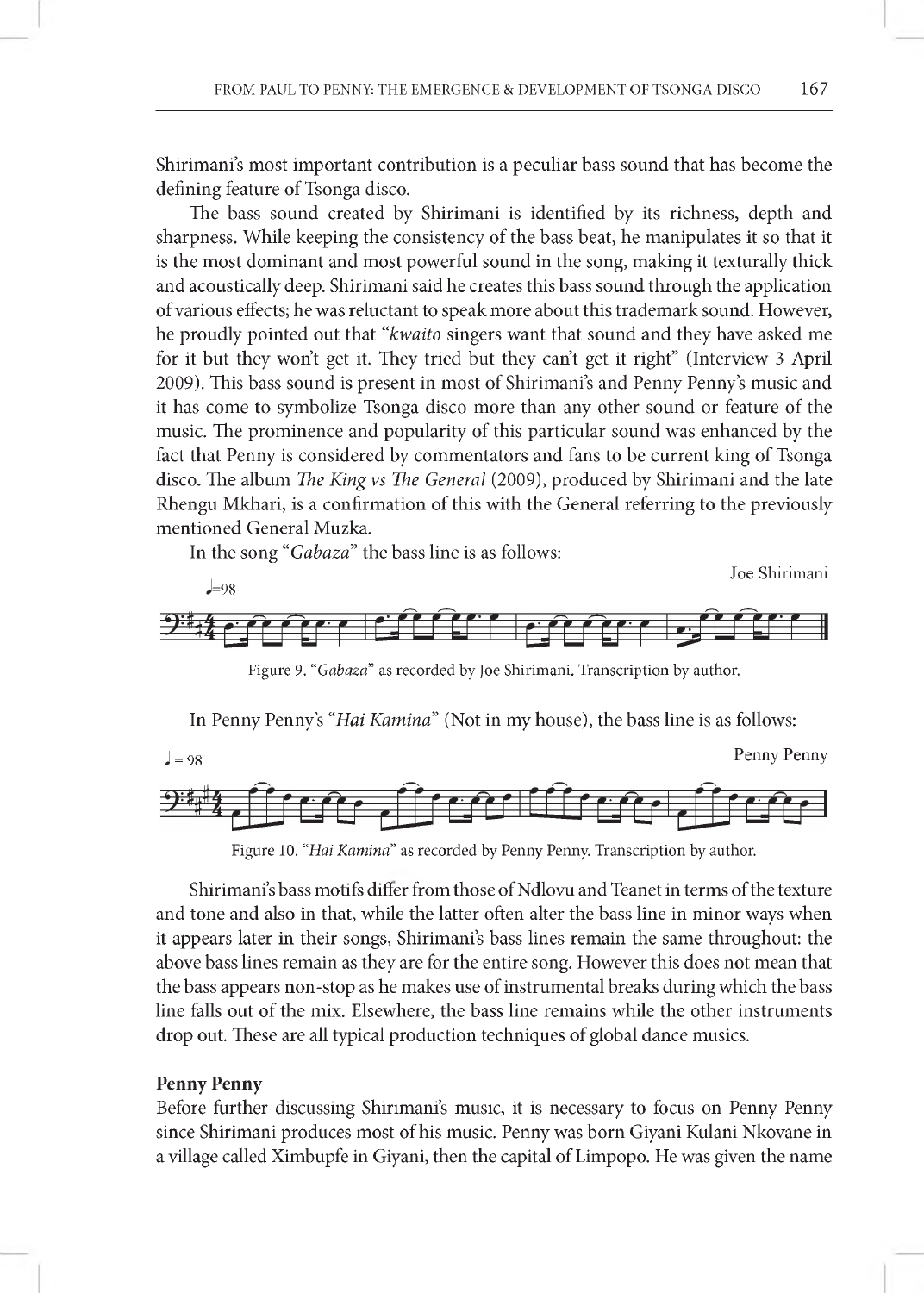Shirimani's most important contribution is a peculiar bass sound that has become the defining feature of Tsonga disco.

The bass sound created by Shirimani is identified by its richness, depth and sharpness. While keeping the consistency of the bass beat, he manipulates it so that it is the most dominant and most powerful sound in the song, making it texturally thick and acoustically deep. Shirimani said he creates this bass sound through the application of various effects; he was reluctant to speak more about this trademark sound. However, he proudly pointed out that *"kwaito* singers want that sound and they have asked me for it but they won't get it. They tried but they can't get it right" (Interview 3 April 2009). This bass sound is present in most of Shirimani's and Penny Penny's music and it has come to symbolize Tsonga disco more than any other sound or feature of the music. The prominence and popularity of this particular sound was enhanced by the fact that Penny is considered by commentators and fans to be current king of Tsonga disco. The album *The King* vs *The General* (2009), produced by Shirimani and the late Rhengu Mkhari, is a confirmation of this with the General referring to the previously mentioned General Muzka.

In the song "Gabaza" the bass line is as follows:



Figure 9. "Gabaza" as recorded by Joe Shirimani. Transcription by author.

In Penny Penny's "*Hai Kamina*" (Not in my house), the bass line is as follows:



Figure 10. "Hai Kamina" as recorded by Penny Penny. Transcription by author.

Shirimani's bass motifs differ from those of Ndlovu and Teanet in terms of the texture and tone and also in that, while the latter often alter the bass line in minor ways when it appears later in their songs, Shirimani's bass lines remain the same throughout: the above bass lines remain as they are for the entire song. However this does not mean that the bass appears non-stop as he makes use of instrumental breaks during which the bass line falls out of the mix. Elsewhere, the bass line remains while the other instruments drop out. These are all typical production techniques of global dance musics.

## **Penny Penny**

Before further discussing Shirimani's music, it is necessary to focus on Penny Penny since Shirimani produces most of his music. Penny was born Giyani Kulani Nkovane in a village called Ximbupfe in Giyani, then the capital of Limpopo. He was given the name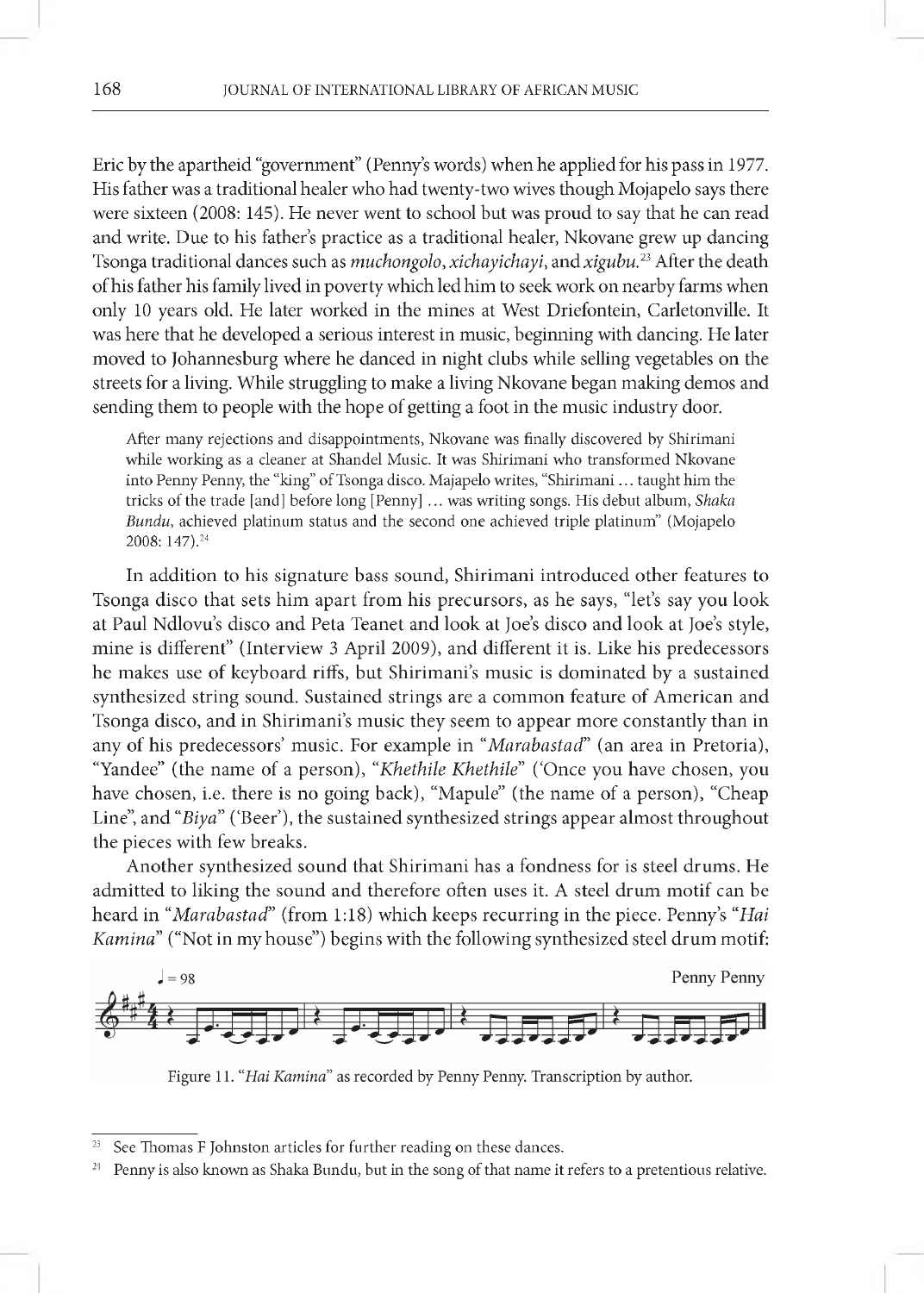Eric by the apartheid "government" (Penny's words) when he applied for his pass in 1977. His father was a traditional healer who had twenty-two wives though Mojapelo says there were sixteen (2008: 145). He never went to school but was proud to say that he can read and write. Due to his father's practice as a traditional healer, Nkovane grew up dancing Tsonga traditional dances such as *muchongolo, xichayichayi,* and *xigubu*.23 After the death of his father his family lived in poverty which led him to seek work on nearby farms when only 10 years old. He later worked in the mines at West Driefontein, Carletonville. It was here that he developed a serious interest in music, beginning with dancing. He later moved to Johannesburg where he danced in night clubs while selling vegetables on the streets for a living. While struggling to make a living Nkovane began making demos and sending them to people with the hope of getting a foot in the music industry door.

After many rejections and disappointments, Nkovane was finally discovered by Shirimani while working as a cleaner at Shandel Music. It was Shirimani who transformed Nkovane into Penny Penny, the "king" of Tsonga disco. Majapelo writes, "Shirimani ... taught him the tricks of the trade [and] before long [Penny] ... was writing songs. His debut album, *Shaka Bundu*, achieved platinum status and the second one achieved triple platinum" (Mojapelo 2008: 147).23 4

In addition to his signature bass sound, Shirimani introduced other features to Tsonga disco that sets him apart from his precursors, as he says, "let's say you look at Paul Ndlovu's disco and Peta Teanet and look at Joe's disco and look at Joe's style, mine is different" (Interview 3 April 2009), and different it is. Like his predecessors he makes use of keyboard riffs, but Shirimani's music is dominated by a sustained synthesized string sound. Sustained strings are a common feature of American and Tsonga disco, and in Shirimani's music they seem to appear more constantly than in any of his predecessors' music. For example in "*Marabastad*" (an area in Pretoria), "Yandee" (the name of a person), *"Khethile Khethile*" ('Once you have chosen, you have chosen, i.e. there is no going back), "Mapule" (the name of a person), "Cheap Line", and "Biya" ('Beer'), the sustained synthesized strings appear almost throughout the pieces with few breaks.

Another synthesized sound that Shirimani has a fondness for is steel drums. He admitted to liking the sound and therefore often uses it. A steel drum motif can be heard in "*Marabastad*" (from 1:18) which keeps recurring in the piece. Penny's "Hai *Kamina*" ("Not in my house") begins with the following synthesized steel drum motif:



Figure 11. "Hai Kamina" as recorded by Penny Penny. Transcription by author.

See Thomas F Johnston articles for further reading on these dances.

<sup>&</sup>lt;sup>24</sup> Penny is also known as Shaka Bundu, but in the song of that name it refers to a pretentious relative.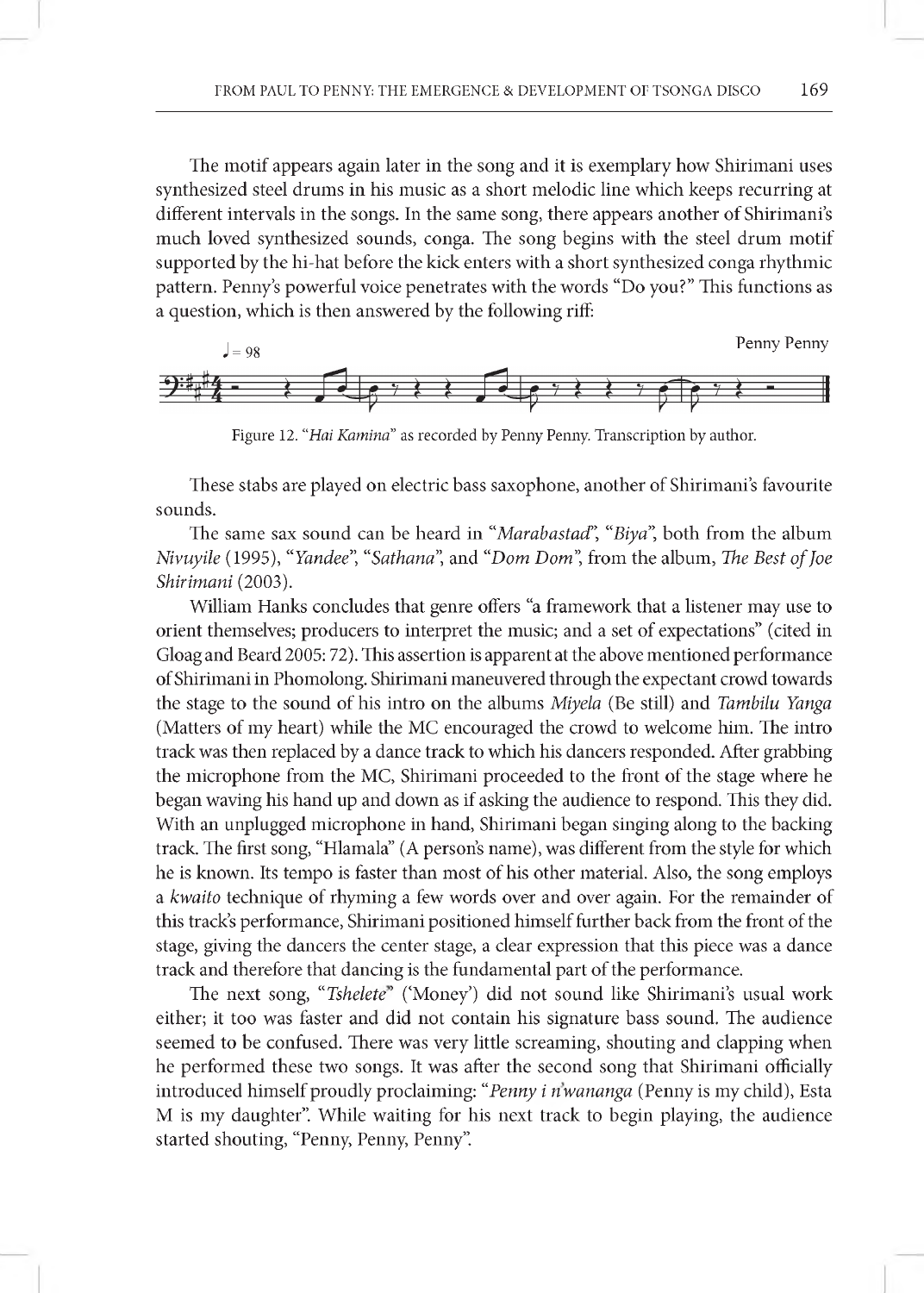The motif appears again later in the song and it is exemplary how Shirimani uses synthesized steel drums in his music as a short melodic line which keeps recurring at different intervals in the songs. In the same song, there appears another of Shirimani's much loved synthesized sounds, conga. The song begins with the steel drum motif supported by the hi-hat before the kick enters with a short synthesized conga rhythmic pattern. Penny's powerful voice penetrates with the words "Do you?" This functions as a question, which is then answered by the following riff:



Figure 12. "Hai Kamina" as recorded by Penny Penny. Transcription by author.

These stabs are played on electric bass saxophone, another of Shirimani's favourite sounds.

The same sax sound can be heard in "*Marabastad*"**,** *"Biya",* both from the album *Nivuyile* (1995), *"Yandee*"**,** "*Sathana*", and "*Dom Dom*", from the album, *The Best of Joe Shirimani* (2003).

William Hanks concludes that genre offers "a framework that a listener may use to orient themselves; producers to interpret the music; and a set of expectations" (cited in Gloag and Beard 2005: 72). This assertion is apparent at the above mentioned performance of Shirimani in Phomolong. Shirimani maneuvered through the expectant crowd towards the stage to the sound of his intro on the albums *Miyela* (Be still) and *Tambilu Yanga* (Matters of my heart) while the MC encouraged the crowd to welcome him. The intro track was then replaced by a dance track to which his dancers responded. After grabbing the microphone from the MC, Shirimani proceeded to the front of the stage where he began waving his hand up and down as if asking the audience to respond. This they did. With an unplugged microphone in hand, Shirimani began singing along to the backing track. The first song, "Hlamala" (A person's name), was different from the style for which he is known. Its tempo is faster than most of his other material. Also, the song employs a *kwaito* technique of rhyming a few words over and over again. For the remainder of this track's performance, Shirimani positioned himself further back from the front of the stage, giving the dancers the center stage, a clear expression that this piece was a dance track and therefore that dancing is the fundamental part of the performance.

The next song, "*Tshelete*" ('Money') did not sound like Shirimani's usual work either; it too was faster and did not contain his signature bass sound. The audience seemed to be confused. There was very little screaming, shouting and clapping when he performed these two songs. It was after the second song that Shirimani officially introduced himself proudly proclaiming: *"Penny i nwananga* (Penny is my child), Esta M is my daughter". While waiting for his next track to begin playing, the audience started shouting, "Penny, Penny, Penny".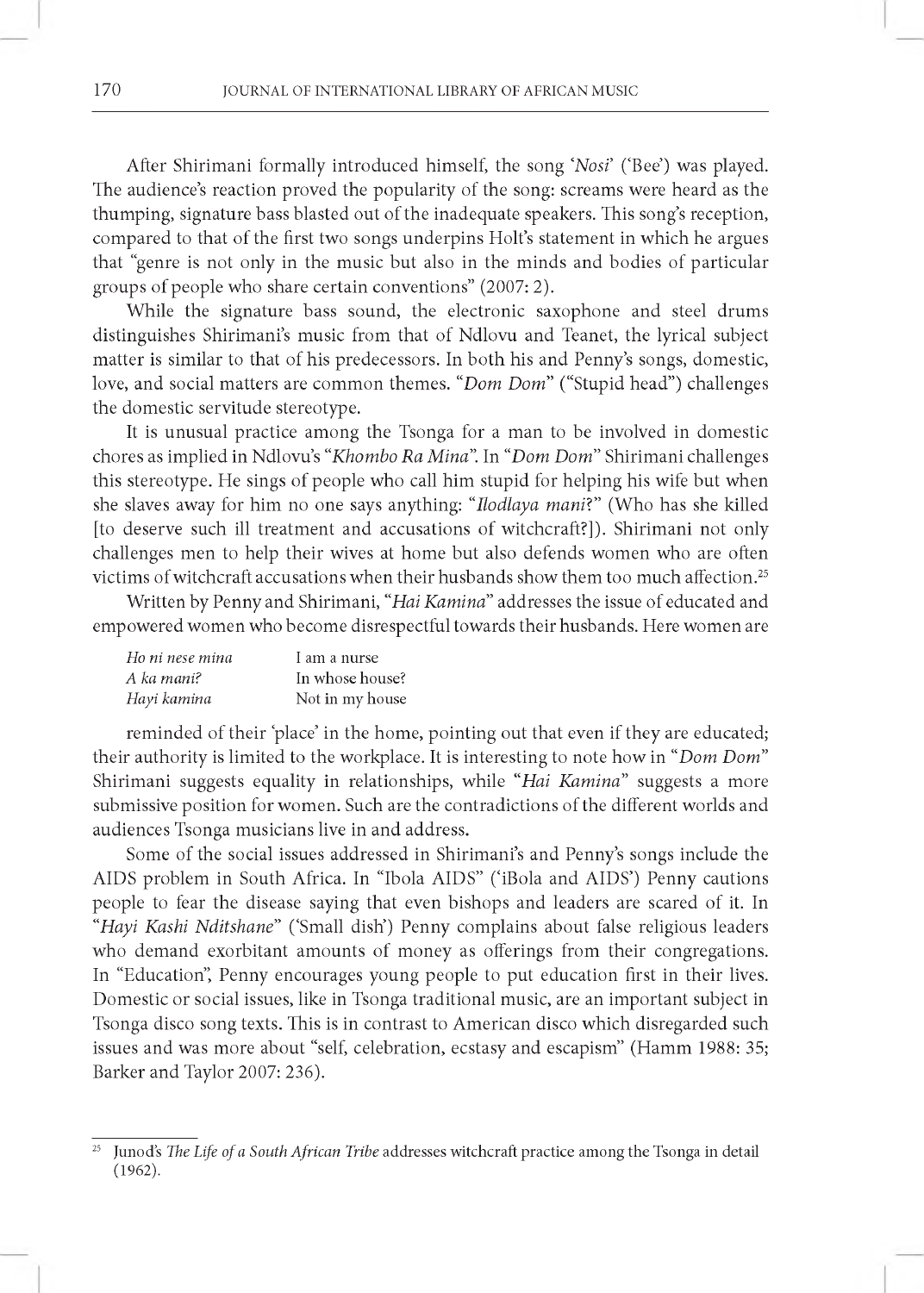After Shirimani formally introduced himself, the song '*Nosi* ('Bee') was played. The audience's reaction proved the popularity of the song: screams were heard as the thumping, signature bass blasted out of the inadequate speakers. This song's reception, compared to that of the first two songs underpins Holt's statement in which he argues that "genre is not only in the music but also in the minds and bodies of particular groups of people who share certain conventions" (2007: 2).

While the signature bass sound, the electronic saxophone and steel drums distinguishes Shirimani's music from that of Ndlovu and Teanet, the lyrical subject matter is similar to that of his predecessors. In both his and Penny's songs, domestic, love, and social matters are common themes. *"Dom Dom"* ("Stupid head") challenges the domestic servitude stereotype.

It is unusual practice among the Tsonga for a man to be involved in domestic chores as implied in Ndlovu's *"Khombo Ra M ina".* In "*Dom Dom"* Shirimani challenges this stereotype. He sings of people who call him stupid for helping his wife but when she slaves away for him no one says anything: *"Ilodlaya mani*?" (Who has she killed [to deserve such ill treatment and accusations of witchcraft?]). Shirimani not only challenges men to help their wives at home but also defends women who are often victims of witchcraft accusations when their husbands show them too much affection.25

Written by Penny and Shirimani, *"Hai Kamina"* addresses the issue of educated and empowered women who become disrespectful towards their husbands. Here women are

| Ho ni nese mina | I am a nurse    |
|-----------------|-----------------|
| A ka mani?      | In whose house? |
| Hayi kamina     | Not in my house |

reminded of their 'place' in the home, pointing out that even if they are educated; their authority is limited to the workplace. It is interesting to note how in *"Dom Dom "* Shirimani suggests equality in relationships, while *"Hai Kamina"* suggests a more submissive position for women. Such are the contradictions of the different worlds and audiences Tsonga musicians live in and address.

Some of the social issues addressed in Shirimani's and Penny's songs include the AIDS problem in South Africa. In "Ibola AIDS" ('iBola and AIDS') Penny cautions people to fear the disease saying that even bishops and leaders are scared of it. In *"Hayi Kashi Nditshane"* ('Small dish') Penny complains about false religious leaders who demand exorbitant amounts of money as offerings from their congregations. In "Education", Penny encourages young people to put education first in their lives. Domestic or social issues, like in Tsonga traditional music, are an important subject in Tsonga disco song texts. This is in contrast to American disco which disregarded such issues and was more about "self, celebration, ecstasy and escapism" (Hamm 1988: 35; Barker and Taylor 2007: 236).

<sup>&</sup>lt;sup>25</sup> Junod's *The Life of a South African Tribe* addresses witchcraft practice among the Tsonga in detail  $(1962).$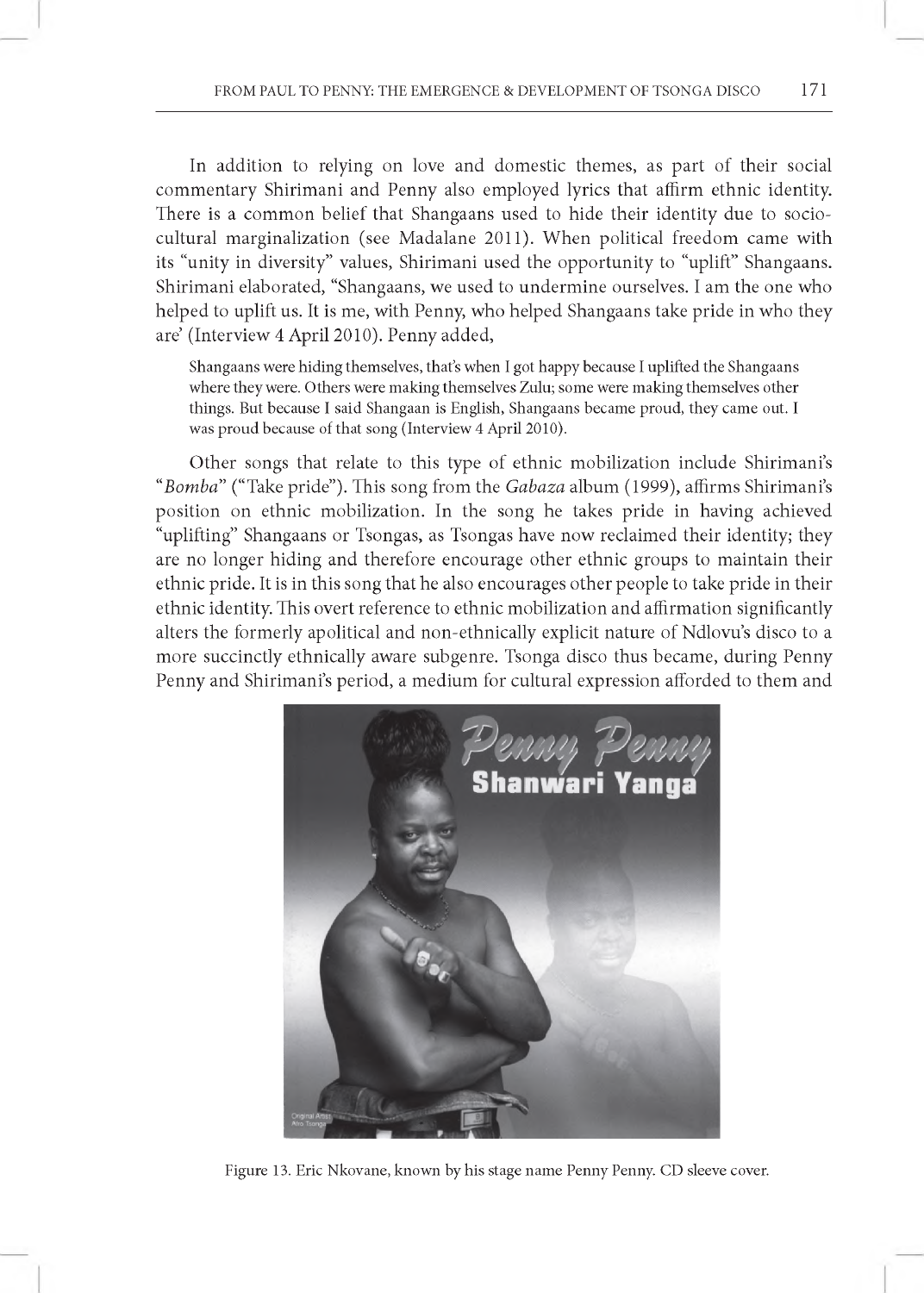In addition to relying on love and domestic themes, as part of their social commentary Shirimani and Penny also employed lyrics that affirm ethnic identity. There is a common belief that Shangaans used to hide their identity due to sociocultural marginalization (see Madalane 2011). When political freedom came with its "unity in diversity" values, Shirimani used the opportunity to "uplift" Shangaans. Shirimani elaborated, "Shangaans, we used to undermine ourselves. I am the one who helped to uplift us. It is me, with Penny, who helped Shangaans take pride in who they are' (Interview 4 April 2010). Penny added,

Shangaans were hiding themselves, that's when I got happy because I uplifted the Shangaans where they were. Others were making themselves Zulu; some were making themselves other things. But because I said Shangaan is English, Shangaans became proud, they came out. I was proud because of that song (Interview 4 April 2010).

Other songs that relate to this type of ethnic mobilization include Shirimani's "Bomba" ("Take pride"). This song from the *Gabaza* album (1999), affirms Shirimani's position on ethnic mobilization. In the song he takes pride in having achieved "uplifting" Shangaans or Tsongas, as Tsongas have now reclaimed their identity; they are no longer hiding and therefore encourage other ethnic groups to maintain their ethnic pride. It is in this song that he also encourages other people to take pride in their ethnic identity. This overt reference to ethnic mobilization and affirmation significantly alters the formerly apolitical and non-ethnically explicit nature of Ndlovu's disco to a more succinctly ethnically aware subgenre. Tsonga disco thus became, during Penny Penny and Shirimani's period, a medium for cultural expression afforded to them and



Figure 13. Eric Nkovane, known by his stage name Penny Penny. CD sleeve cover.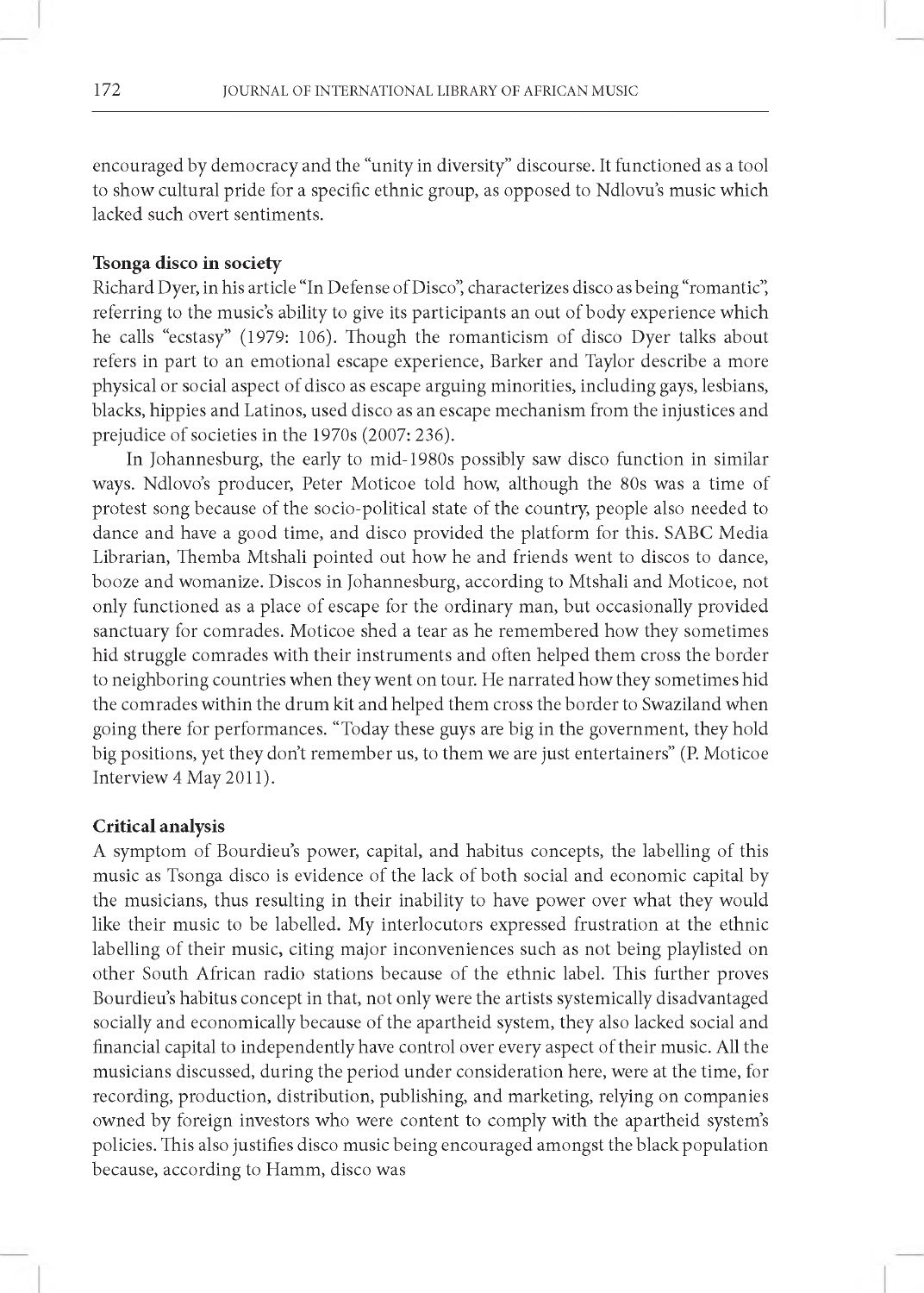encouraged by democracy and the "unity in diversity" discourse. It functioned as a tool to show cultural pride for a specific ethnic group, as opposed to Ndlovu's music which lacked such overt sentiments.

## **Tsonga disco in society**

Richard Dyer, in his article "In Defense of Disco", characterizes disco as being "romantic", referring to the music's ability to give its participants an out of body experience which he calls "ecstasy" (1979: 106). Though the romanticism of disco Dyer talks about refers in part to an emotional escape experience, Barker and Taylor describe a more physical or social aspect of disco as escape arguing minorities, including gays, lesbians, blacks, hippies and Latinos, used disco as an escape mechanism from the injustices and prejudice of societies in the 1970s (2007: 236).

In Johannesburg, the early to mid-1980s possibly saw disco function in similar ways. Ndlovo's producer, Peter Moticoe told how, although the 80s was a time of protest song because of the socio-political state of the country, people also needed to dance and have a good time, and disco provided the platform for this. SABC Media Librarian, Themba Mtshali pointed out how he and friends went to discos to dance, booze and womanize. Discos in Johannesburg, according to Mtshali and Moticoe, not only functioned as a place of escape for the ordinary man, but occasionally provided sanctuary for comrades. Moticoe shed a tear as he remembered how they sometimes hid struggle comrades with their instruments and often helped them cross the border to neighboring countries when they went on tour. He narrated how they sometimes hid the comrades within the drum kit and helped them cross the border to Swaziland when going there for performances. "Today these guys are big in the government, they hold big positions, yet they don't remember us, to them we are just entertainers" (P. Moticoe Interview 4 May 2011).

### **Critical analysis**

A symptom of Bourdieu's power, capital, and habitus concepts, the labelling of this music as Tsonga disco is evidence of the lack of both social and economic capital by the musicians, thus resulting in their inability to have power over what they would like their music to be labelled. My interlocutors expressed frustration at the ethnic labelling of their music, citing major inconveniences such as not being playlisted on other South African radio stations because of the ethnic label. This further proves Bourdieu's habitus concept in that, not only were the artists systemically disadvantaged socially and economically because of the apartheid system, they also lacked social and financial capital to independently have control over every aspect of their music. All the musicians discussed, during the period under consideration here, were at the time, for recording, production, distribution, publishing, and marketing, relying on companies owned by foreign investors who were content to comply with the apartheid system's policies. This also justifies disco music being encouraged amongst the black population because, according to Hamm, disco was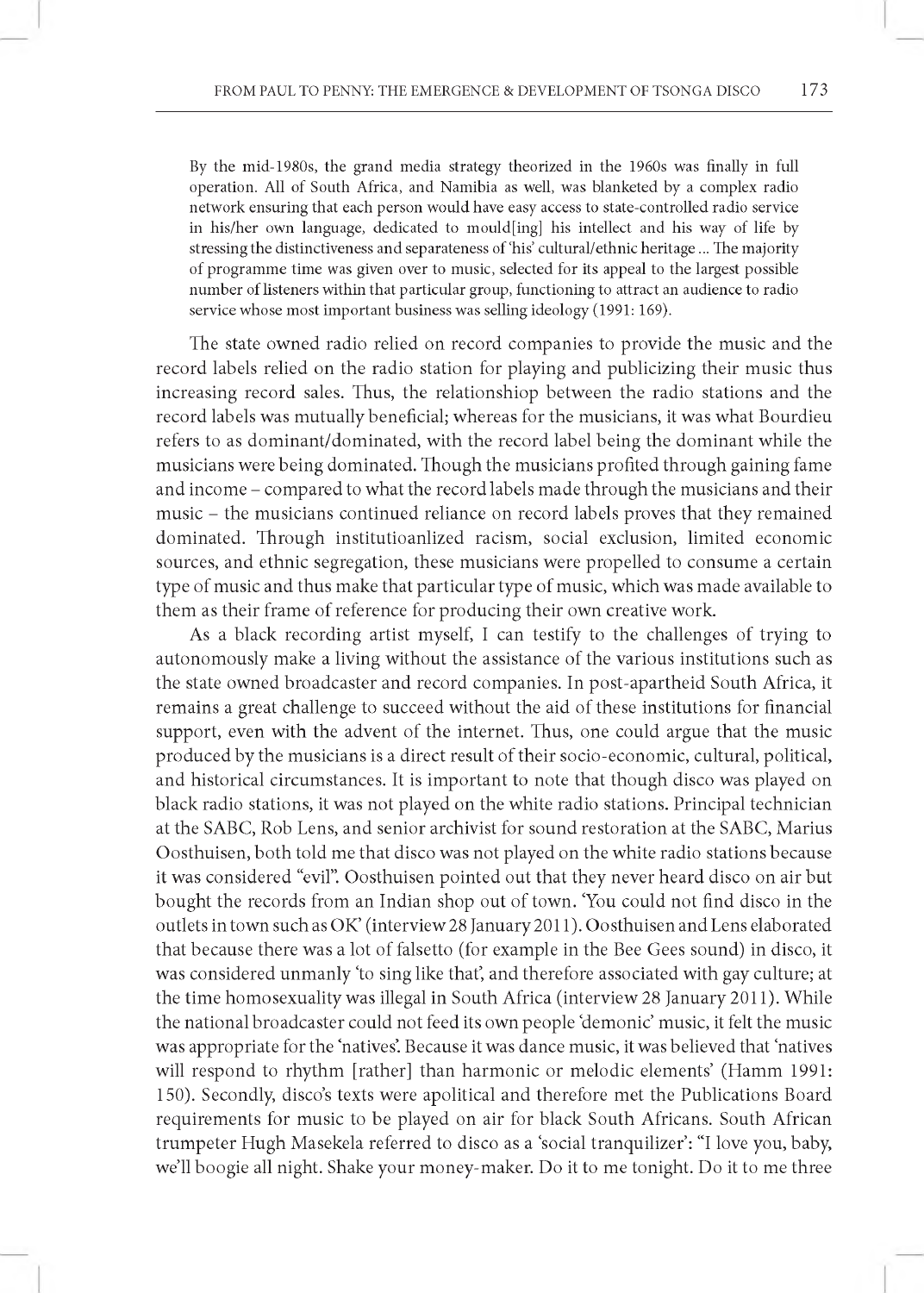By the mid-1980s, the grand media strategy theorized in the 1960s was finally in full operation. All of South Africa, and Namibia as well, was blanketed by a complex radio network ensuring that each person would have easy access to state-controlled radio service in his/her own language, dedicated to mould $\langle \text{ing} \rangle$  his intellect and his way of life by stressing the distinctiveness and separateness of 'his' cultural/ethnic heritage ... The majority of programme time was given over to music, selected for its appeal to the largest possible number of listeners within that particular group, functioning to attract an audience to radio service whose most important business was selling ideology (1991: 169).

The state owned radio relied on record companies to provide the music and the record labels relied on the radio station for playing and publicizing their music thus increasing record sales. Thus, the relationshiop between the radio stations and the record labels was mutually beneficial; whereas for the musicians, it was what Bourdieu refers to as dominant/dominated, with the record label being the dominant while the musicians were being dominated. Though the musicians profited through gaining fame and income - compared to what the record labels made through the musicians and their music - the musicians continued reliance on record labels proves that they remained dominated. Through institutioanlized racism, social exclusion, limited economic sources, and ethnic segregation, these musicians were propelled to consume a certain type of music and thus make that particular type of music, which was made available to them as their frame of reference for producing their own creative work.

As a black recording artist myself, I can testify to the challenges of trying to autonomously make a living without the assistance of the various institutions such as the state owned broadcaster and record companies. In post-apartheid South Africa, it remains a great challenge to succeed without the aid of these institutions for financial support, even with the advent of the internet. Thus, one could argue that the music produced by the musicians is a direct result of their socio-economic, cultural, political, and historical circumstances. It is important to note that though disco was played on black radio stations, it was not played on the white radio stations. Principal technician at the SABC, Rob Lens, and senior archivist for sound restoration at the SABC, Marius Oosthuisen, both told me that disco was not played on the white radio stations because it was considered "evil". Oosthuisen pointed out that they never heard disco on air but bought the records from an Indian shop out of town. 'You could not find disco in the outlets in town such as OK' (interview 28 January 2011). Oosthuisen and Lens elaborated that because there was a lot of falsetto (for example in the Bee Gees sound) in disco, it was considered unmanly 'to sing like that, and therefore associated with gay culture; at the time homosexuality was illegal in South Africa (interview 28 January 2011). While the national broadcaster could not feed its own people 'demonic' music, it felt the music was appropriate for the 'natives'. Because it was dance music, it was believed that 'natives will respond to rhythm [rather] than harmonic or melodic elements' (Hamm 1991: 150). Secondly, disco's texts were apolitical and therefore met the Publications Board requirements for music to be played on air for black South Africans. South African trumpeter Hugh Masekela referred to disco as a 'social tranquilizer': "I love you, baby, we'll boogie all night. Shake your money-maker. Do it to me tonight. Do it to me three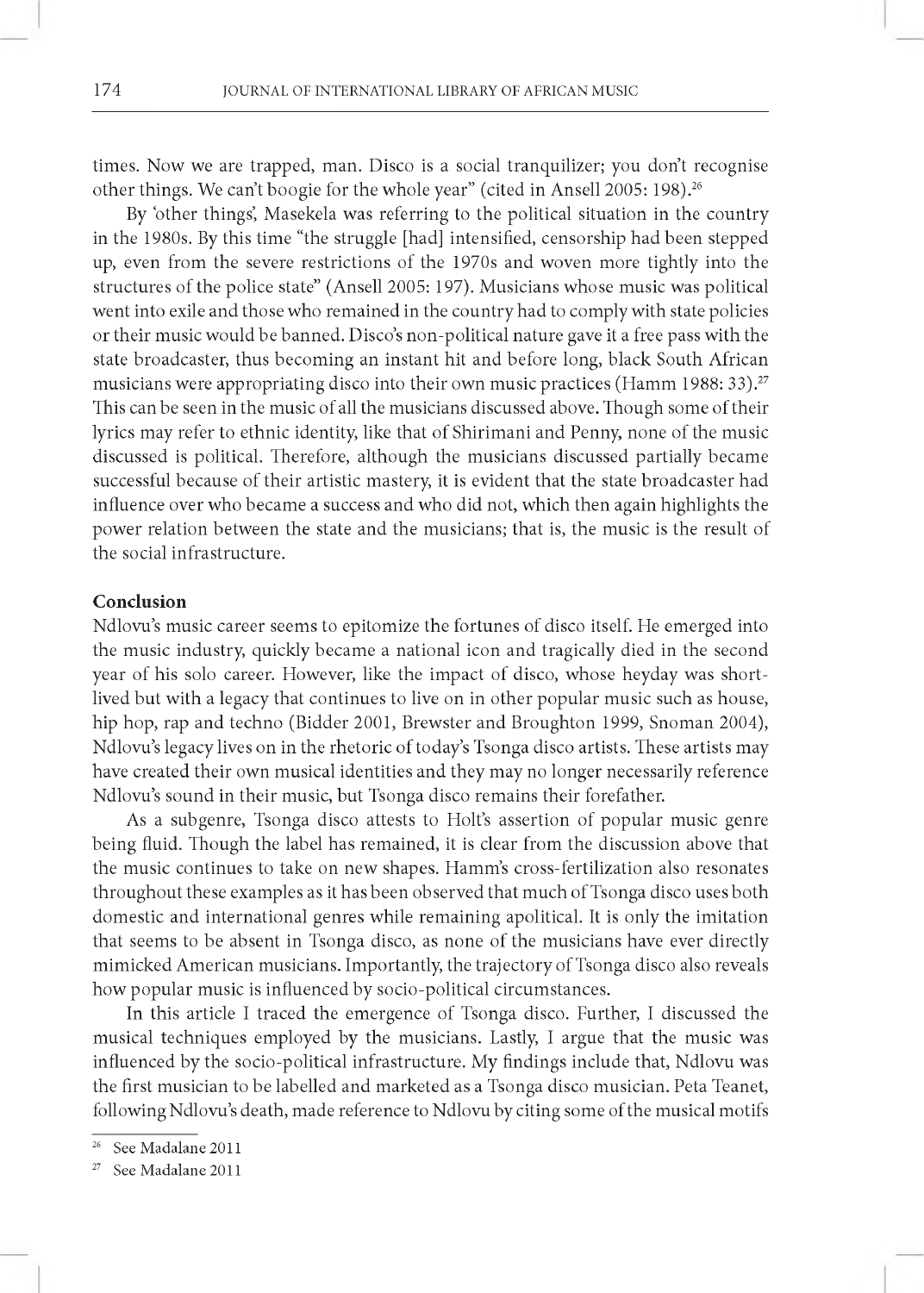times. Now we are trapped, man. Disco is a social tranquilizer; you don't recognise other things. We can't boogie for the whole year" (cited in Ansell 2005: 198).<sup>26</sup>

By 'other things', Masekela was referring to the political situation in the country in the 1980s. By this time "the struggle [had] intensified, censorship had been stepped up, even from the severe restrictions of the 1970s and woven more tightly into the structures of the police state" (Ansell 2005: 197). Musicians whose music was political went into exile and those who remained in the country had to comply with state policies or their music would be banned. Disco's non-political nature gave it a free pass with the state broadcaster, thus becoming an instant hit and before long, black South African musicians were appropriating disco into their own music practices (Hamm 1988: 33).27 This can be seen in the music of all the musicians discussed above. Though some of their lyrics may refer to ethnic identity, like that of Shirimani and Penny, none of the music discussed is political. Therefore, although the musicians discussed partially became successful because of their artistic mastery, it is evident that the state broadcaster had influence over who became a success and who did not, which then again highlights the power relation between the state and the musicians; that is, the music is the result of the social infrastructure.

## **Conclusion**

Ndlovu's music career seems to epitomize the fortunes of disco itself. He emerged into the music industry, quickly became a national icon and tragically died in the second year of his solo career. However, like the impact of disco, whose heyday was shortlived but with a legacy that continues to live on in other popular music such as house, hip hop, rap and techno (Bidder 2001, Brewster and Broughton 1999, Snoman 2004), Ndlovu's legacy lives on in the rhetoric of today's Tsonga disco artists. These artists may have created their own musical identities and they may no longer necessarily reference Ndlovu's sound in their music, but Tsonga disco remains their forefather.

As a subgenre, Tsonga disco attests to Holt's assertion of popular music genre being fluid. Though the label has remained, it is clear from the discussion above that the music continues to take on new shapes. Hamm's cross-fertilization also resonates throughout these examples as it has been observed that much of Tsonga disco uses both domestic and international genres while remaining apolitical. It is only the imitation that seems to be absent in Tsonga disco, as none of the musicians have ever directly mimicked American musicians. Importantly, the trajectory of Tsonga disco also reveals how popular music is influenced by socio-political circumstances.

In this article I traced the emergence of Tsonga disco. Further, I discussed the musical techniques employed by the musicians. Lastly, I argue that the music was influenced by the socio-political infrastructure. My findings include that, Ndlovu was the first musician to be labelled and marketed as a Tsonga disco musician. Peta Teanet, following Ndlovu's death, made reference to Ndlovu by citing some of the musical motifs

<sup>&</sup>lt;sup>26</sup> See Madalane 2011

See Madalane 2011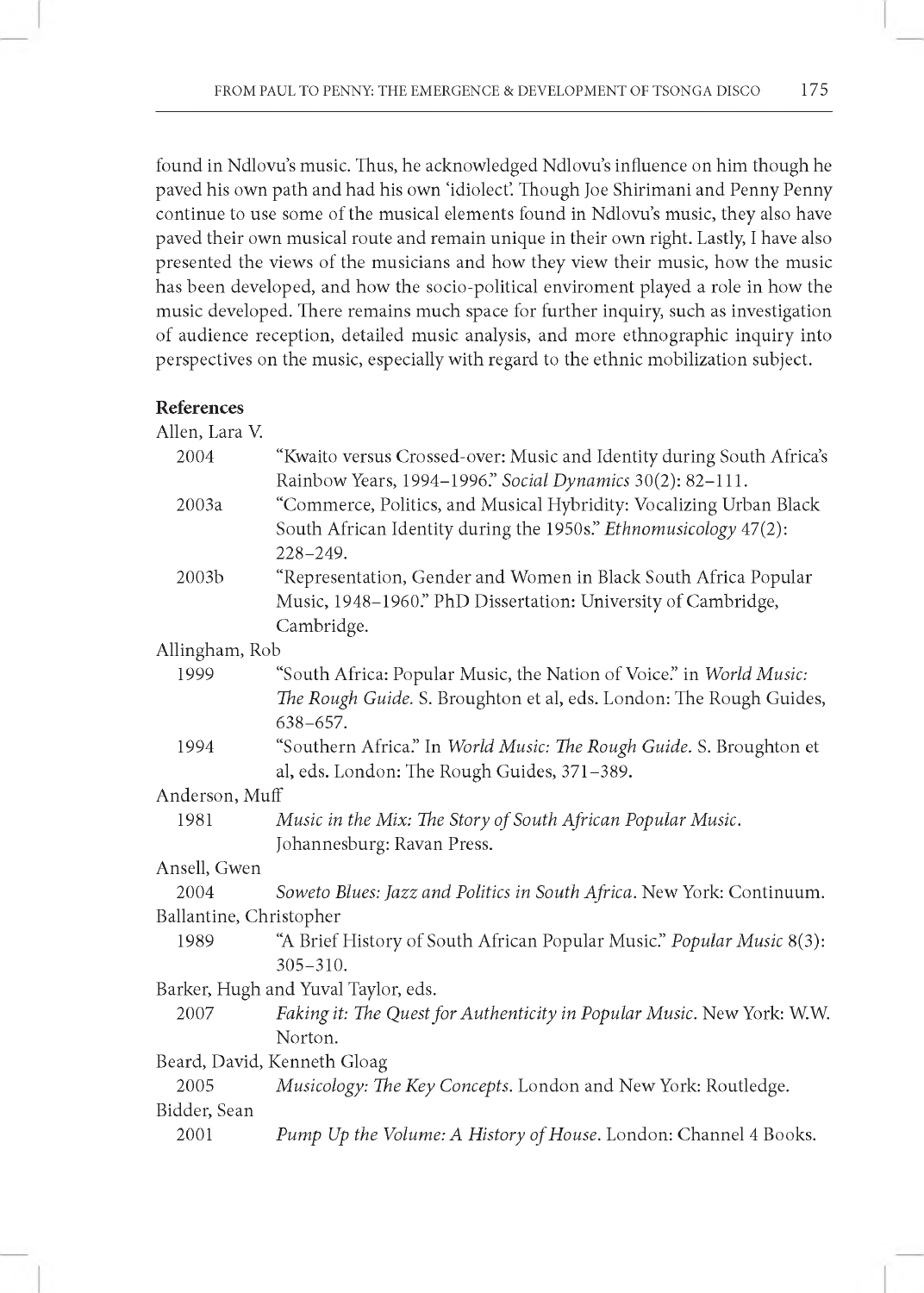found in Ndlovu's music. Thus, he acknowledged Ndlovu's influence on him though he paved his own path and had his own 'idiolect'. Though Joe Shirimani and Penny Penny continue to use some of the musical elements found in Ndlovu's music, they also have paved their own musical route and remain unique in their own right. Lastly, I have also presented the views of the musicians and how they view their music, how the music has been developed, and how the socio-political enviroment played a role in how the music developed. There remains much space for further inquiry, such as investigation of audience reception, detailed music analysis, and more ethnographic inquiry into perspectives on the music, especially with regard to the ethnic mobilization subject.

# **References**

| Allen, Lara V. |  |
|----------------|--|
|----------------|--|

| IMILII, LAIA V.         |                                                                        |
|-------------------------|------------------------------------------------------------------------|
| 2004                    | "Kwaito versus Crossed-over: Music and Identity during South Africa's  |
|                         | Rainbow Years, 1994-1996." Social Dynamics 30(2): 82-111.              |
| 2003a                   | "Commerce, Politics, and Musical Hybridity: Vocalizing Urban Black     |
|                         | South African Identity during the 1950s." Ethnomusicology 47(2):       |
|                         | $228 - 249.$                                                           |
| 2003b                   | "Representation, Gender and Women in Black South Africa Popular        |
|                         | Music, 1948-1960." PhD Dissertation: University of Cambridge,          |
|                         | Cambridge.                                                             |
| Allingham, Rob          |                                                                        |
| 1999                    | "South Africa: Popular Music, the Nation of Voice." in World Music:    |
|                         | The Rough Guide. S. Broughton et al, eds. London: The Rough Guides,    |
|                         | $638 - 657.$                                                           |
| 1994                    | "Southern Africa." In World Music: The Rough Guide. S. Broughton et    |
|                         | al, eds. London: The Rough Guides, 371-389.                            |
| Anderson, Muff          |                                                                        |
| 1981                    | Music in the Mix: The Story of South African Popular Music.            |
|                         | Johannesburg: Ravan Press.                                             |
| Ansell, Gwen            |                                                                        |
| 2004                    | Soweto Blues: Jazz and Politics in South Africa. New York: Continuum.  |
| Ballantine, Christopher |                                                                        |
| 1989                    | "A Brief History of South African Popular Music." Popular Music 8(3):  |
|                         | $305 - 310.$                                                           |
|                         | Barker, Hugh and Yuval Taylor, eds.                                    |
| 2007                    | Faking it: The Quest for Authenticity in Popular Music. New York: W.W. |
|                         | Norton.                                                                |
|                         | Beard, David, Kenneth Gloag                                            |
| 2005                    | Musicology: The Key Concepts. London and New York: Routledge.          |
| Bidder, Sean            |                                                                        |
| 2001                    | Pump Up the Volume: A History of House. London: Channel 4 Books.       |
|                         |                                                                        |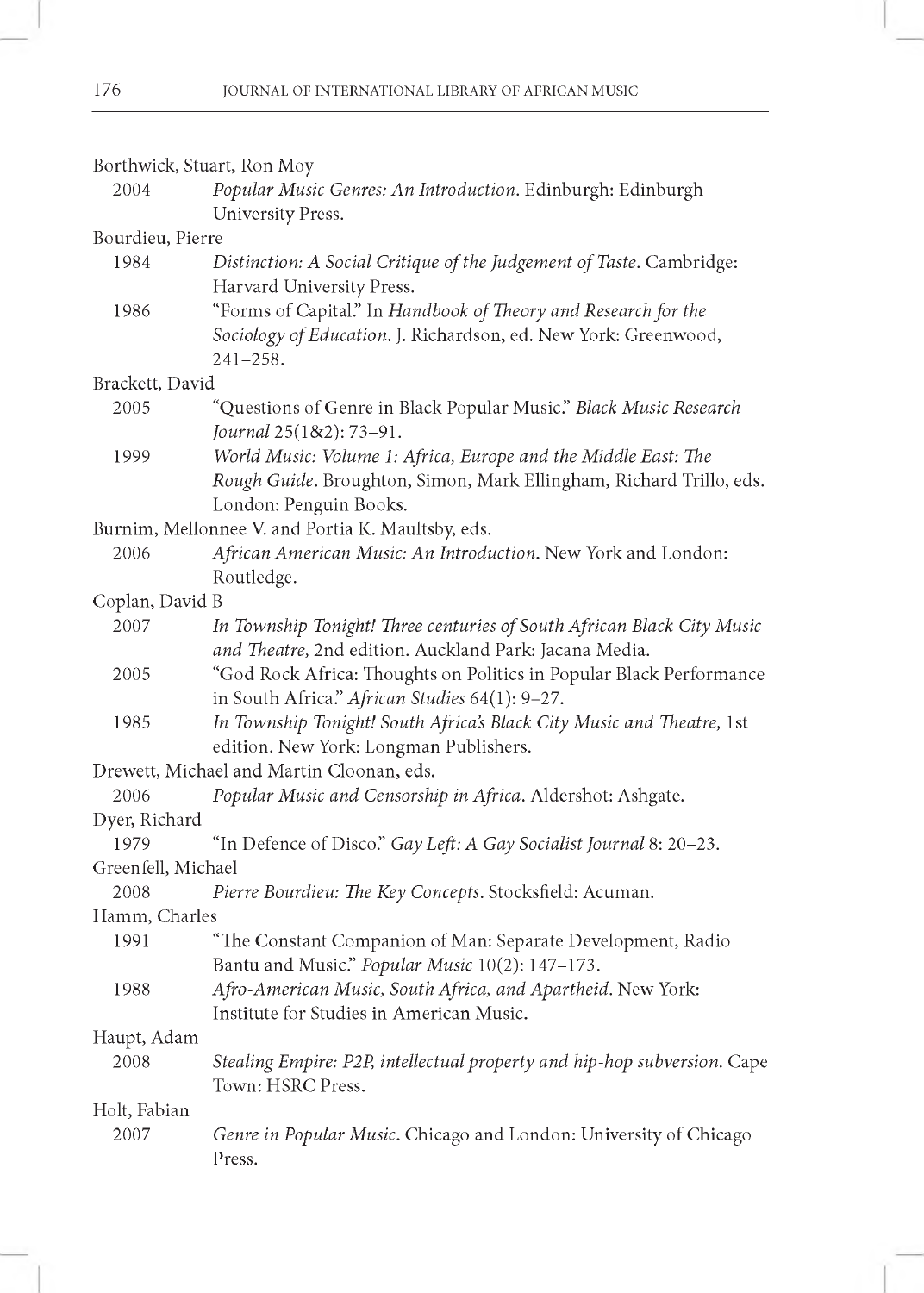| Borthwick, Stuart, Ron Moy |                                                                          |
|----------------------------|--------------------------------------------------------------------------|
| 2004                       | Popular Music Genres: An Introduction. Edinburgh: Edinburgh              |
|                            | University Press.                                                        |
| Bourdieu, Pierre           |                                                                          |
| 1984                       | Distinction: A Social Critique of the Judgement of Taste. Cambridge:     |
|                            | Harvard University Press.                                                |
| 1986                       | "Forms of Capital." In Handbook of Theory and Research for the           |
|                            | Sociology of Education. J. Richardson, ed. New York: Greenwood,          |
|                            | $241 - 258.$                                                             |
| Brackett, David            |                                                                          |
| 2005                       | "Questions of Genre in Black Popular Music." Black Music Research        |
|                            | Journal 25(1&2): 73-91.                                                  |
| 1999                       | World Music: Volume 1: Africa, Europe and the Middle East: The           |
|                            | Rough Guide. Broughton, Simon, Mark Ellingham, Richard Trillo, eds.      |
|                            | London: Penguin Books.                                                   |
|                            | Burnim, Mellonnee V. and Portia K. Maultsby, eds.                        |
| 2006                       | African American Music: An Introduction. New York and London:            |
|                            | Routledge.                                                               |
| Coplan, David B            |                                                                          |
| 2007                       | In Township Tonight! Three centuries of South African Black City Music   |
|                            | and Theatre, 2nd edition. Auckland Park: Jacana Media.                   |
| 2005                       | "God Rock Africa: Thoughts on Politics in Popular Black Performance      |
|                            | in South Africa." African Studies 64(1): 9-27.                           |
| 1985                       | In Township Tonight! South Africa's Black City Music and Theatre, 1st    |
|                            | edition. New York: Longman Publishers.                                   |
|                            | Drewett, Michael and Martin Cloonan, eds.                                |
| 2006                       | Popular Music and Censorship in Africa. Aldershot: Ashgate.              |
| Dyer, Richard              |                                                                          |
| 1979                       | "In Defence of Disco." Gay Left: A Gay Socialist Journal 8: 20-23.       |
| Greenfell, Michael         |                                                                          |
| 2008                       | Pierre Bourdieu: The Key Concepts. Stocksfield: Acuman.                  |
| Hamm, Charles              |                                                                          |
| 1991                       | "The Constant Companion of Man: Separate Development, Radio              |
|                            | Bantu and Music." Popular Music 10(2): 147-173.                          |
| 1988                       | Afro-American Music, South Africa, and Apartheid. New York:              |
|                            | Institute for Studies in American Music.                                 |
| Haupt, Adam                |                                                                          |
| 2008                       | Stealing Empire: P2P, intellectual property and hip-hop subversion. Cape |
|                            | Town: HSRC Press.                                                        |
| Holt, Fabian               |                                                                          |
| 2007                       | Genre in Popular Music. Chicago and London: University of Chicago        |
|                            | Press.                                                                   |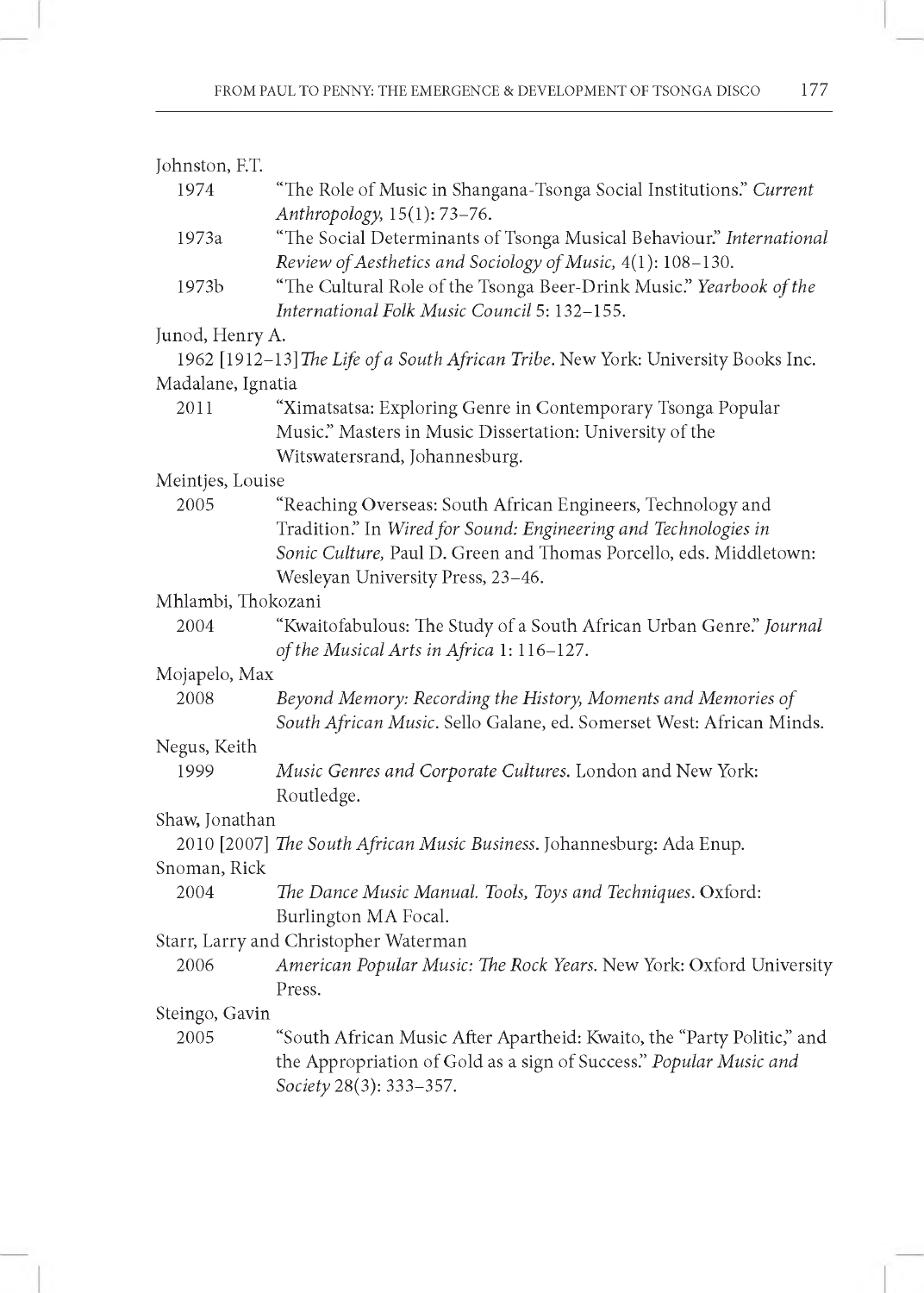| Johnston, F.T.     |                                                                                                                     |
|--------------------|---------------------------------------------------------------------------------------------------------------------|
| 1974               | "The Role of Music in Shangana-Tsonga Social Institutions." Current                                                 |
|                    | Anthropology, 15(1): 73-76.                                                                                         |
| 1973a              | "The Social Determinants of Tsonga Musical Behaviour." International                                                |
|                    | Review of Aesthetics and Sociology of Music, 4(1): 108-130.                                                         |
| 1973b              | "The Cultural Role of the Tsonga Beer-Drink Music." Yearbook of the<br>International Folk Music Council 5: 132-155. |
| Junod, Henry A.    |                                                                                                                     |
|                    | 1962 [1912-13] The Life of a South African Tribe. New York: University Books Inc.                                   |
| Madalane, Ignatia  |                                                                                                                     |
| 2011               | "Ximatsatsa: Exploring Genre in Contemporary Tsonga Popular                                                         |
|                    | Music." Masters in Music Dissertation: University of the<br>Witswatersrand, Johannesburg.                           |
| Meintjes, Louise   |                                                                                                                     |
| 2005               | "Reaching Overseas: South African Engineers, Technology and                                                         |
|                    | Tradition." In Wired for Sound: Engineering and Technologies in                                                     |
|                    | Sonic Culture, Paul D. Green and Thomas Porcello, eds. Middletown:                                                  |
|                    | Wesleyan University Press, 23-46.                                                                                   |
| Mhlambi, Thokozani |                                                                                                                     |
| 2004               | "Kwaitofabulous: The Study of a South African Urban Genre." Journal                                                 |
|                    | of the Musical Arts in Africa 1: 116-127.                                                                           |
| Mojapelo, Max      |                                                                                                                     |
| 2008               | Beyond Memory: Recording the History, Moments and Memories of                                                       |
|                    | South African Music. Sello Galane, ed. Somerset West: African Minds.                                                |
| Negus, Keith       |                                                                                                                     |
| 1999               | Music Genres and Corporate Cultures. London and New York:                                                           |
|                    | Routledge.                                                                                                          |
| Shaw, Jonathan     |                                                                                                                     |
|                    | 2010 [2007] The South African Music Business. Johannesburg: Ada Enup.                                               |
| Snoman, Rick       |                                                                                                                     |
| 2004               | The Dance Music Manual. Tools, Toys and Techniques. Oxford:                                                         |
|                    | Burlington MA Focal.                                                                                                |
|                    | Starr, Larry and Christopher Waterman                                                                               |
| 2006               | American Popular Music: The Rock Years. New York: Oxford University                                                 |
|                    | Press.                                                                                                              |
| Steingo, Gavin     |                                                                                                                     |
| 2005               | "South African Music After Apartheid: Kwaito, the "Party Politic," and                                              |
|                    | the Appropriation of Gold as a sign of Success." Popular Music and                                                  |
|                    | Society 28(3): 333-357.                                                                                             |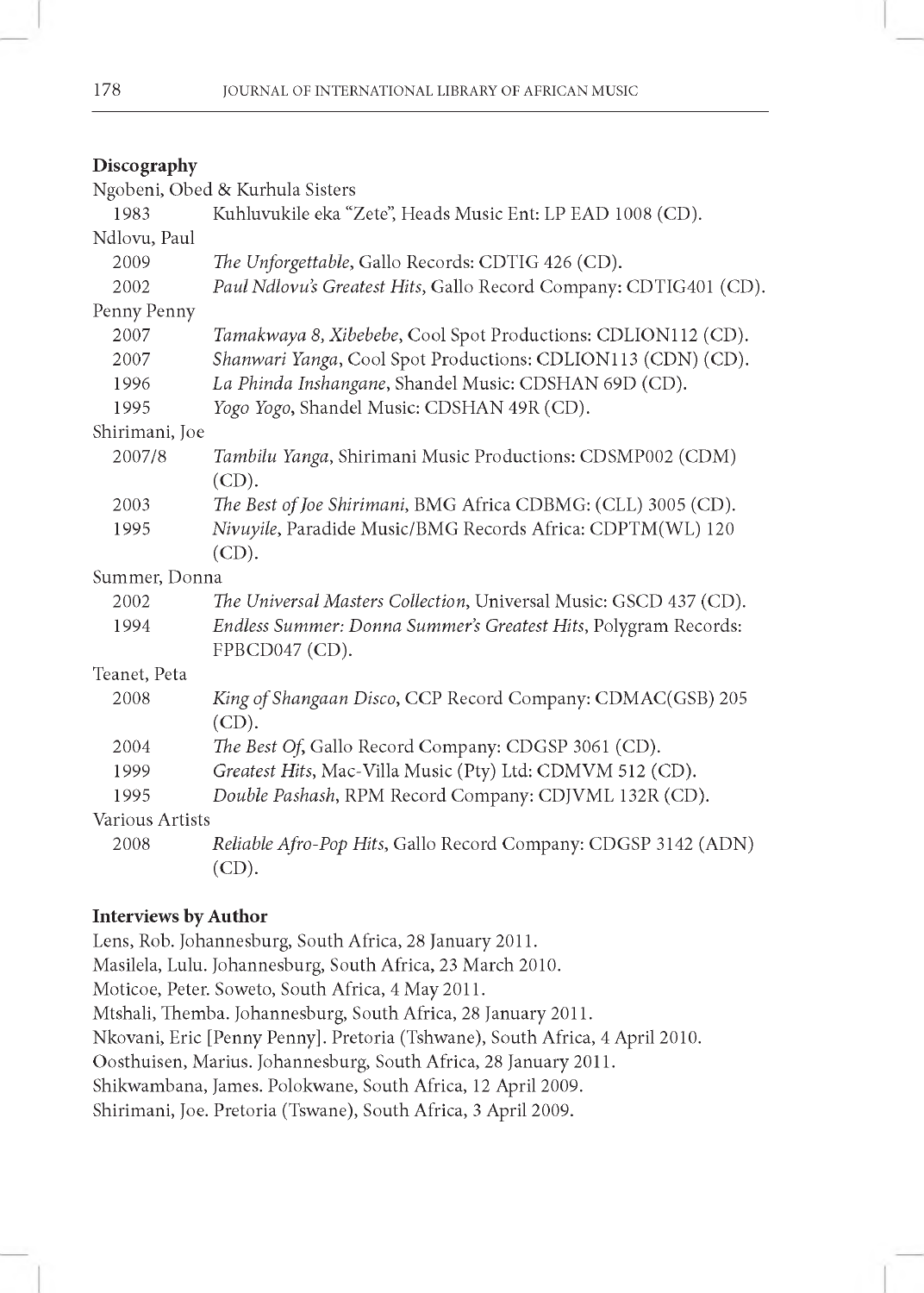# **Discography**

|                 | Ngobeni, Obed & Kurhula Sisters                                   |
|-----------------|-------------------------------------------------------------------|
| 1983            | Kuhluvukile eka "Zete", Heads Music Ent: LP EAD 1008 (CD).        |
| Ndlovu, Paul    |                                                                   |
| 2009            | The Unforgettable, Gallo Records: CDTIG 426 (CD).                 |
| 2002            | Paul Ndlovu's Greatest Hits, Gallo Record Company: CDTIG401 (CD). |
| Penny Penny     |                                                                   |
| 2007            | Tamakwaya 8, Xibebebe, Cool Spot Productions: CDLION112 (CD).     |
| 2007            | Shanwari Yanga, Cool Spot Productions: CDLION113 (CDN) (CD).      |
| 1996            | La Phinda Inshangane, Shandel Music: CDSHAN 69D (CD).             |
| 1995            | Yogo Yogo, Shandel Music: CDSHAN 49R (CD).                        |
| Shirimani, Joe  |                                                                   |
| 2007/8          | Tambilu Yanga, Shirimani Music Productions: CDSMP002 (CDM)        |
|                 | $(CD)$ .                                                          |
| 2003            | The Best of Joe Shirimani, BMG Africa CDBMG: (CLL) 3005 (CD).     |
| 1995            | Nivuyile, Paradide Music/BMG Records Africa: CDPTM(WL) 120        |
|                 | $(CD)$ .                                                          |
| Summer, Donna   |                                                                   |
| 2002            | The Universal Masters Collection, Universal Music: GSCD 437 (CD). |
| 1994            | Endless Summer: Donna Summer's Greatest Hits, Polygram Records:   |
|                 | FPBCD047 (CD).                                                    |
| Teanet, Peta    |                                                                   |
| 2008            | King of Shangaan Disco, CCP Record Company: CDMAC(GSB) 205        |
|                 | $(CD)$ .                                                          |
| 2004            | The Best Of, Gallo Record Company: CDGSP 3061 (CD).               |
| 1999            | Greatest Hits, Mac-Villa Music (Pty) Ltd: CDMVM 512 (CD).         |
| 1995            | Double Pashash, RPM Record Company: CDJVML 132R (CD).             |
| Various Artists |                                                                   |
| 2008            | Reliable Afro-Pop Hits, Gallo Record Company: CDGSP 3142 (ADN)    |
|                 | (CD).                                                             |

# **Interviews by Author**

Lens, Rob. Johannesburg, South Africa, 28 January 2011. Masilela, Lulu. Johannesburg, South Africa, 23 March 2010. Moticoe, Peter. Soweto, South Africa, 4 May 2011. Mtshali, Themba. Johannesburg, South Africa, 28 January 2011. Nkovani, Eric [Penny Penny]. Pretoria (Tshwane), South Africa, 4 April 2010. Oosthuisen, Marius. Johannesburg, South Africa, 28 January 2011. Shikwambana, James. Polokwane, South Africa, 12 April 2009. Shirimani, Joe. Pretoria (Tswane), South Africa, 3 April 2009.